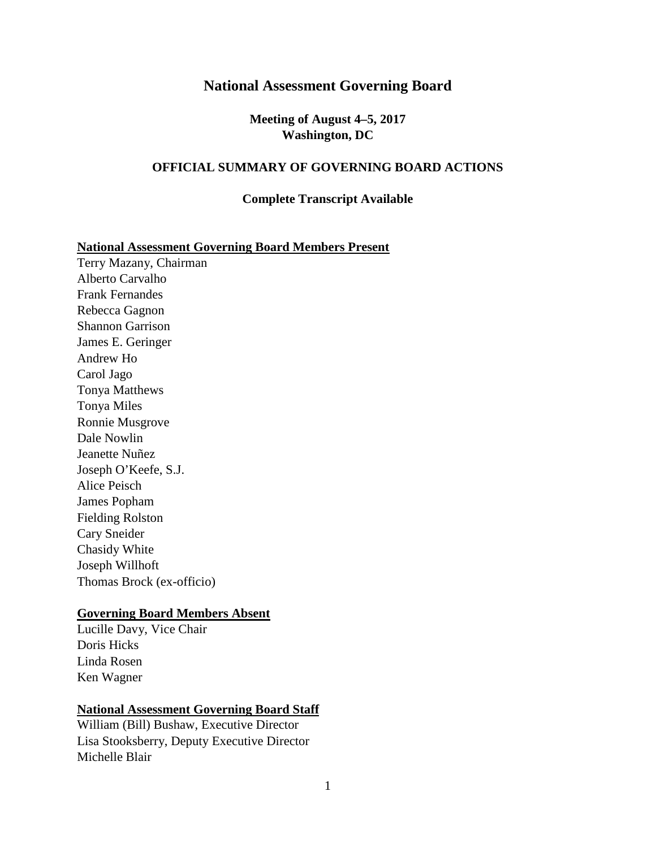#### **National Assessment Governing Board**

**Meeting of August 4–5, 2017 Washington, DC** 

#### **OFFICIAL SUMMARY OF GOVERNING BOARD ACTIONS**

#### **Complete Transcript Available**

#### **National Assessment Governing Board Members Present**

Terry Mazany, Chairman Alberto Carvalho Frank Fernandes Rebecca Gagnon Shannon Garrison James E. Geringer Andrew Ho Carol Jago Tonya Matthews Tonya Miles Ronnie Musgrove Dale Nowlin Jeanette Nuñez Joseph O'Keefe, S.J. Alice Peisch James Popham Fielding Rolston Cary Sneider Chasidy White Joseph Willhoft Thomas Brock (ex-officio)

#### **Governing Board Members Absent**

Lucille Davy, Vice Chair Doris Hicks Linda Rosen Ken Wagner

#### **National Assessment Governing Board Staff**

William (Bill) Bushaw, Executive Director Lisa Stooksberry, Deputy Executive Director Michelle Blair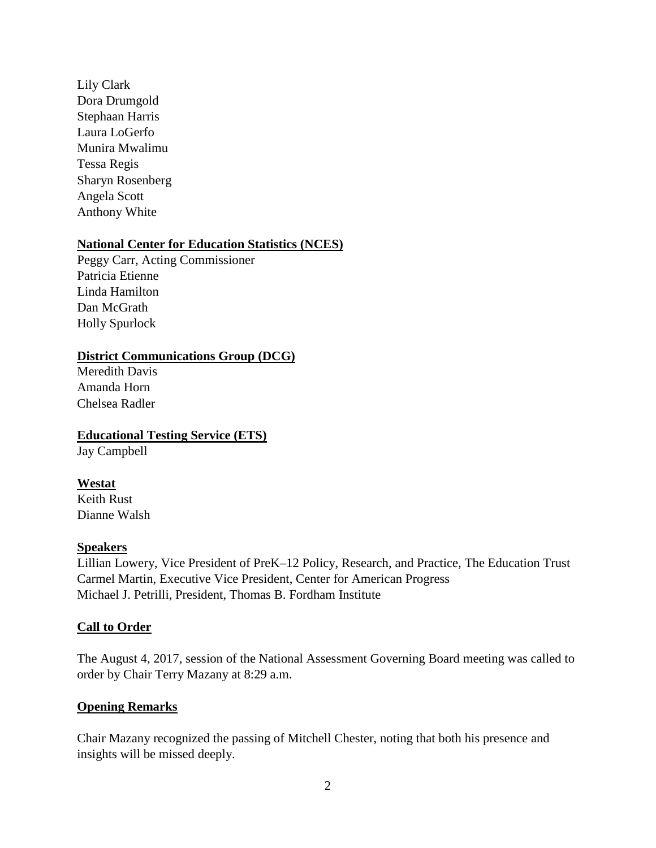Lily Clark Dora Drumgold Stephaan Harris Laura LoGerfo Munira Mwalimu Tessa Regis Sharyn Rosenberg Angela Scott Anthony White

#### **National Center for Education Statistics (NCES)**

Peggy Carr, Acting Commissioner Patricia Etienne Linda Hamilton Dan McGrath Holly Spurlock

#### **District Communications Group (DCG)**

Meredith Davis Amanda Horn Chelsea Radler

**Educational Testing Service (ETS)** Jay Campbell

## **Westat**

Keith Rust Dianne Walsh

#### **Speakers**

Lillian Lowery, Vice President of PreK–12 Policy, Research, and Practice, The Education Trust Carmel Martin, Executive Vice President, Center for American Progress Michael J. Petrilli, President, Thomas B. Fordham Institute

#### **Call to Order**

The August 4, 2017, session of the National Assessment Governing Board meeting was called to order by Chair Terry Mazany at 8:29 a.m.

#### **Opening Remarks**

Chair Mazany recognized the passing of Mitchell Chester, noting that both his presence and insights will be missed deeply.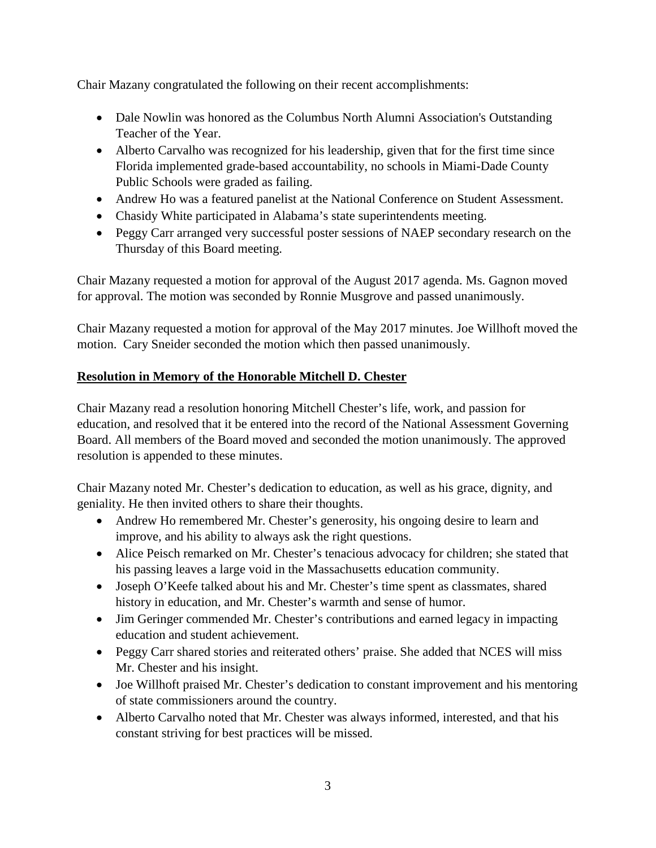Chair Mazany congratulated the following on their recent accomplishments:

- Dale Nowlin was honored as the Columbus North Alumni Association's Outstanding Teacher of the Year.
- Alberto Carvalho was recognized for his leadership, given that for the first time since Florida implemented grade-based accountability, no schools in Miami-Dade County Public Schools were graded as failing.
- Andrew Ho was a featured panelist at the National Conference on Student Assessment.
- Chasidy White participated in Alabama's state superintendents meeting.
- Peggy Carr arranged very successful poster sessions of NAEP secondary research on the Thursday of this Board meeting.

Chair Mazany requested a motion for approval of the August 2017 agenda. Ms. Gagnon moved for approval. The motion was seconded by Ronnie Musgrove and passed unanimously.

Chair Mazany requested a motion for approval of the May 2017 minutes. Joe Willhoft moved the motion. Cary Sneider seconded the motion which then passed unanimously.

#### **Resolution in Memory of the Honorable Mitchell D. Chester**

Chair Mazany read a resolution honoring Mitchell Chester's life, work, and passion for education, and resolved that it be entered into the record of the National Assessment Governing Board. All members of the Board moved and seconded the motion unanimously. The approved resolution is appended to these minutes.

Chair Mazany noted Mr. Chester's dedication to education, as well as his grace, dignity, and geniality. He then invited others to share their thoughts.

- Andrew Ho remembered Mr. Chester's generosity, his ongoing desire to learn and improve, and his ability to always ask the right questions.
- Alice Peisch remarked on Mr. Chester's tenacious advocacy for children; she stated that his passing leaves a large void in the Massachusetts education community.
- Joseph O'Keefe talked about his and Mr. Chester's time spent as classmates, shared history in education, and Mr. Chester's warmth and sense of humor.
- Jim Geringer commended Mr. Chester's contributions and earned legacy in impacting education and student achievement.
- Peggy Carr shared stories and reiterated others' praise. She added that NCES will miss Mr. Chester and his insight.
- Joe Willhoft praised Mr. Chester's dedication to constant improvement and his mentoring of state commissioners around the country.
- Alberto Carvalho noted that Mr. Chester was always informed, interested, and that his constant striving for best practices will be missed.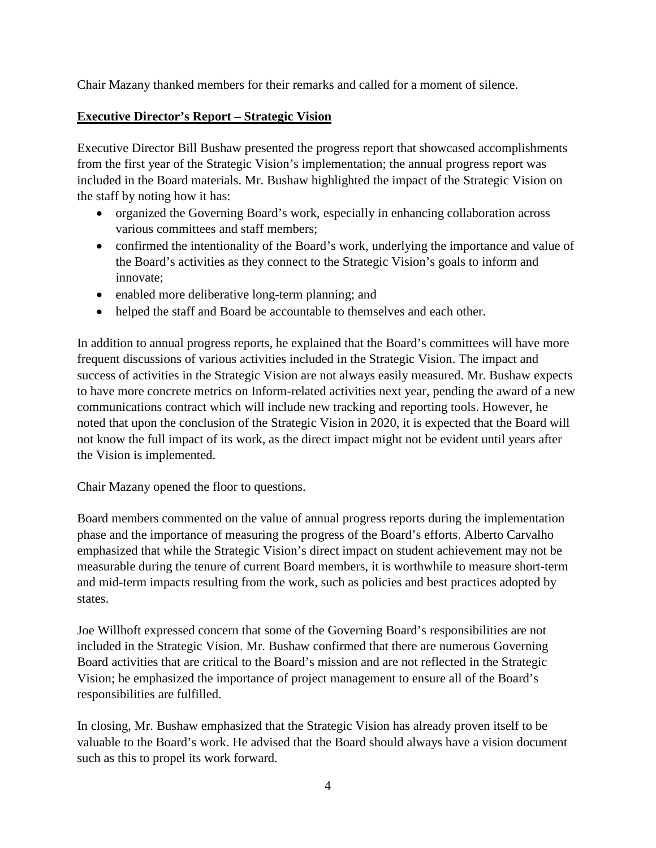Chair Mazany thanked members for their remarks and called for a moment of silence.

#### **Executive Director's Report – Strategic Vision**

Executive Director Bill Bushaw presented the progress report that showcased accomplishments from the first year of the Strategic Vision's implementation; the annual progress report was included in the Board materials. Mr. Bushaw highlighted the impact of the Strategic Vision on the staff by noting how it has:

- organized the Governing Board's work, especially in enhancing collaboration across various committees and staff members;
- confirmed the intentionality of the Board's work, underlying the importance and value of the Board's activities as they connect to the Strategic Vision's goals to inform and innovate;
- enabled more deliberative long-term planning; and
- helped the staff and Board be accountable to themselves and each other.

In addition to annual progress reports, he explained that the Board's committees will have more frequent discussions of various activities included in the Strategic Vision. The impact and success of activities in the Strategic Vision are not always easily measured. Mr. Bushaw expects to have more concrete metrics on Inform-related activities next year, pending the award of a new communications contract which will include new tracking and reporting tools. However, he noted that upon the conclusion of the Strategic Vision in 2020, it is expected that the Board will not know the full impact of its work, as the direct impact might not be evident until years after the Vision is implemented.

Chair Mazany opened the floor to questions.

Board members commented on the value of annual progress reports during the implementation phase and the importance of measuring the progress of the Board's efforts. Alberto Carvalho emphasized that while the Strategic Vision's direct impact on student achievement may not be measurable during the tenure of current Board members, it is worthwhile to measure short-term and mid-term impacts resulting from the work, such as policies and best practices adopted by states.

Joe Willhoft expressed concern that some of the Governing Board's responsibilities are not included in the Strategic Vision. Mr. Bushaw confirmed that there are numerous Governing Board activities that are critical to the Board's mission and are not reflected in the Strategic Vision; he emphasized the importance of project management to ensure all of the Board's responsibilities are fulfilled.

In closing, Mr. Bushaw emphasized that the Strategic Vision has already proven itself to be valuable to the Board's work. He advised that the Board should always have a vision document such as this to propel its work forward.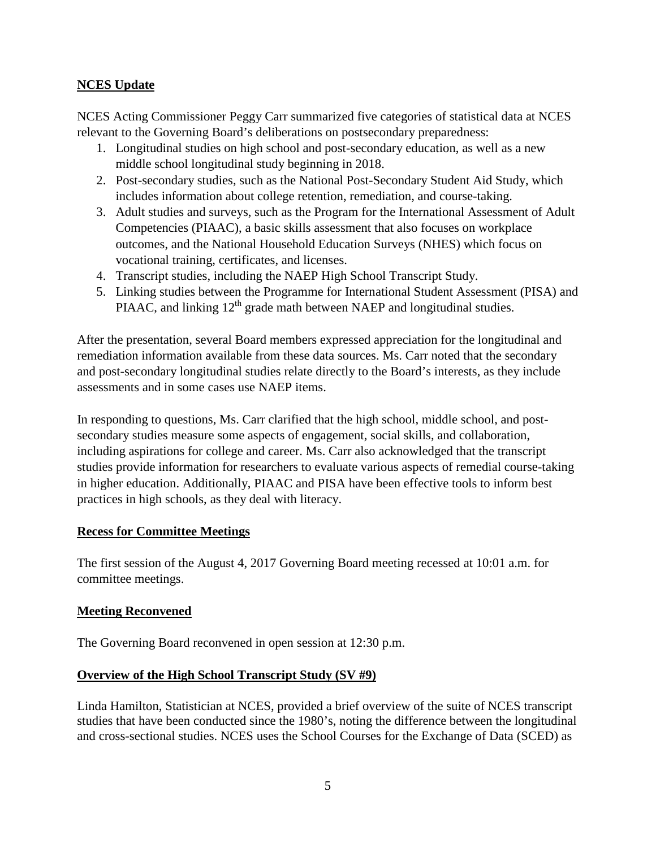#### **NCES Update**

NCES Acting Commissioner Peggy Carr summarized five categories of statistical data at NCES relevant to the Governing Board's deliberations on postsecondary preparedness:

- 1. Longitudinal studies on high school and post-secondary education, as well as a new middle school longitudinal study beginning in 2018.
- 2. Post-secondary studies, such as the National Post-Secondary Student Aid Study, which includes information about college retention, remediation, and course-taking.
- 3. Adult studies and surveys, such as the Program for the International Assessment of Adult Competencies (PIAAC), a basic skills assessment that also focuses on workplace outcomes, and the National Household Education Surveys (NHES) which focus on vocational training, certificates, and licenses.
- 4. Transcript studies, including the NAEP High School Transcript Study.
- 5. Linking studies between the Programme for International Student Assessment (PISA) and PIAAC, and linking  $12<sup>th</sup>$  grade math between NAEP and longitudinal studies.

After the presentation, several Board members expressed appreciation for the longitudinal and remediation information available from these data sources. Ms. Carr noted that the secondary and post-secondary longitudinal studies relate directly to the Board's interests, as they include assessments and in some cases use NAEP items.

In responding to questions, Ms. Carr clarified that the high school, middle school, and postsecondary studies measure some aspects of engagement, social skills, and collaboration, including aspirations for college and career. Ms. Carr also acknowledged that the transcript studies provide information for researchers to evaluate various aspects of remedial course-taking in higher education. Additionally, PIAAC and PISA have been effective tools to inform best practices in high schools, as they deal with literacy.

#### **Recess for Committee Meetings**

The first session of the August 4, 2017 Governing Board meeting recessed at 10:01 a.m. for committee meetings.

#### **Meeting Reconvened**

The Governing Board reconvened in open session at 12:30 p.m.

#### **Overview of the High School Transcript Study (SV #9)**

Linda Hamilton, Statistician at NCES, provided a brief overview of the suite of NCES transcript studies that have been conducted since the 1980's, noting the difference between the longitudinal and cross-sectional studies. NCES uses the School Courses for the Exchange of Data (SCED) as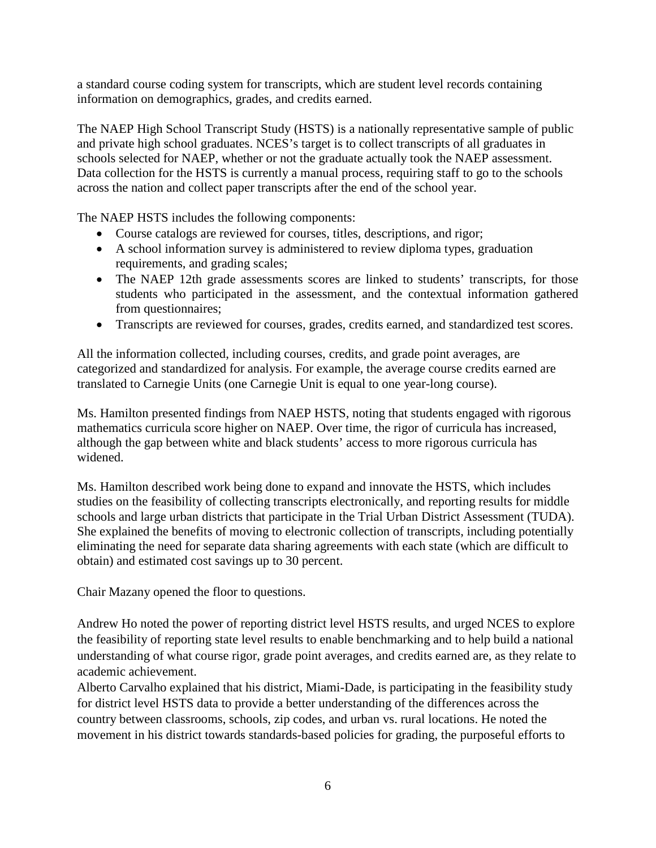a standard course coding system for transcripts, which are student level records containing information on demographics, grades, and credits earned.

The NAEP High School Transcript Study (HSTS) is a nationally representative sample of public and private high school graduates. NCES's target is to collect transcripts of all graduates in schools selected for NAEP, whether or not the graduate actually took the NAEP assessment. Data collection for the HSTS is currently a manual process, requiring staff to go to the schools across the nation and collect paper transcripts after the end of the school year.

The NAEP HSTS includes the following components:

- Course catalogs are reviewed for courses, titles, descriptions, and rigor;
- A school information survey is administered to review diploma types, graduation requirements, and grading scales;
- The NAEP 12th grade assessments scores are linked to students' transcripts, for those students who participated in the assessment, and the contextual information gathered from questionnaires;
- Transcripts are reviewed for courses, grades, credits earned, and standardized test scores.

All the information collected, including courses, credits, and grade point averages, are categorized and standardized for analysis. For example, the average course credits earned are translated to Carnegie Units (one Carnegie Unit is equal to one year-long course).

Ms. Hamilton presented findings from NAEP HSTS, noting that students engaged with rigorous mathematics curricula score higher on NAEP. Over time, the rigor of curricula has increased, although the gap between white and black students' access to more rigorous curricula has widened.

Ms. Hamilton described work being done to expand and innovate the HSTS, which includes studies on the feasibility of collecting transcripts electronically, and reporting results for middle schools and large urban districts that participate in the Trial Urban District Assessment (TUDA). She explained the benefits of moving to electronic collection of transcripts, including potentially eliminating the need for separate data sharing agreements with each state (which are difficult to obtain) and estimated cost savings up to 30 percent.

Chair Mazany opened the floor to questions.

Andrew Ho noted the power of reporting district level HSTS results, and urged NCES to explore the feasibility of reporting state level results to enable benchmarking and to help build a national understanding of what course rigor, grade point averages, and credits earned are, as they relate to academic achievement.

Alberto Carvalho explained that his district, Miami-Dade, is participating in the feasibility study for district level HSTS data to provide a better understanding of the differences across the country between classrooms, schools, zip codes, and urban vs. rural locations. He noted the movement in his district towards standards-based policies for grading, the purposeful efforts to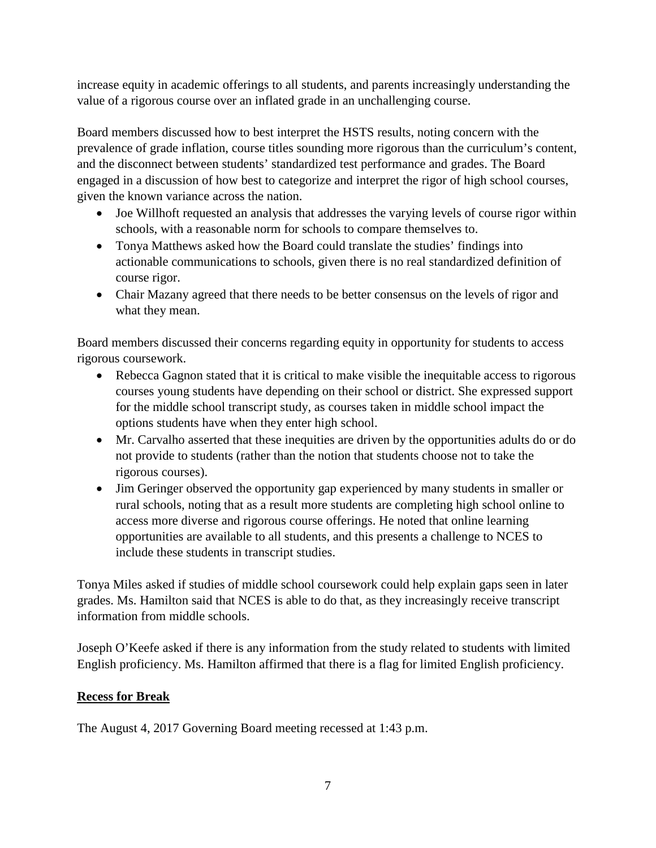increase equity in academic offerings to all students, and parents increasingly understanding the value of a rigorous course over an inflated grade in an unchallenging course.

Board members discussed how to best interpret the HSTS results, noting concern with the prevalence of grade inflation, course titles sounding more rigorous than the curriculum's content, and the disconnect between students' standardized test performance and grades. The Board engaged in a discussion of how best to categorize and interpret the rigor of high school courses, given the known variance across the nation.

- Joe Willhoft requested an analysis that addresses the varying levels of course rigor within schools, with a reasonable norm for schools to compare themselves to.
- Tonya Matthews asked how the Board could translate the studies' findings into actionable communications to schools, given there is no real standardized definition of course rigor.
- Chair Mazany agreed that there needs to be better consensus on the levels of rigor and what they mean.

Board members discussed their concerns regarding equity in opportunity for students to access rigorous coursework.

- Rebecca Gagnon stated that it is critical to make visible the inequitable access to rigorous courses young students have depending on their school or district. She expressed support for the middle school transcript study, as courses taken in middle school impact the options students have when they enter high school.
- Mr. Carvalho asserted that these inequities are driven by the opportunities adults do or do not provide to students (rather than the notion that students choose not to take the rigorous courses).
- Jim Geringer observed the opportunity gap experienced by many students in smaller or rural schools, noting that as a result more students are completing high school online to access more diverse and rigorous course offerings. He noted that online learning opportunities are available to all students, and this presents a challenge to NCES to include these students in transcript studies.

Tonya Miles asked if studies of middle school coursework could help explain gaps seen in later grades. Ms. Hamilton said that NCES is able to do that, as they increasingly receive transcript information from middle schools.

Joseph O'Keefe asked if there is any information from the study related to students with limited English proficiency. Ms. Hamilton affirmed that there is a flag for limited English proficiency.

#### **Recess for Break**

The August 4, 2017 Governing Board meeting recessed at 1:43 p.m.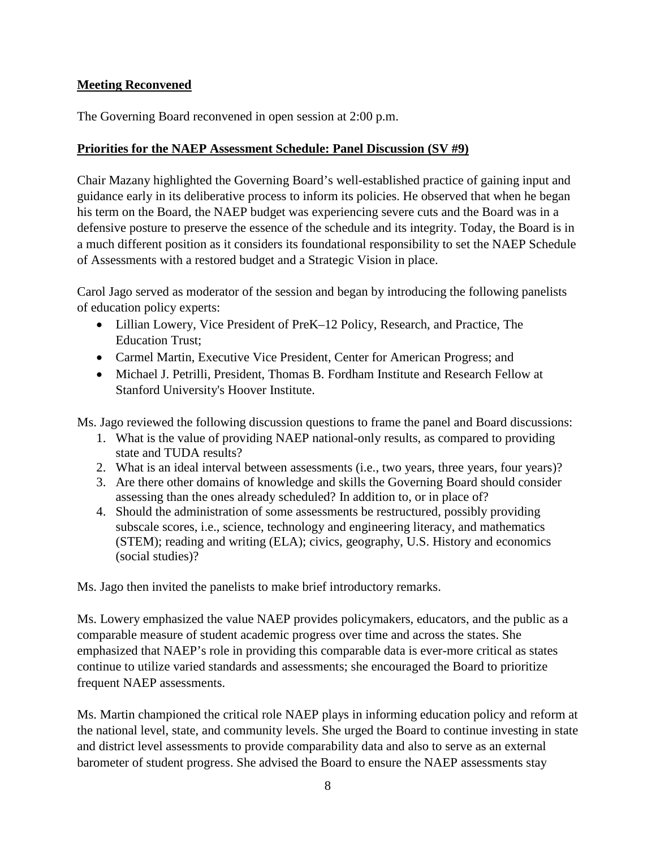#### **Meeting Reconvened**

The Governing Board reconvened in open session at 2:00 p.m.

#### **Priorities for the NAEP Assessment Schedule: Panel Discussion (SV #9)**

Chair Mazany highlighted the Governing Board's well-established practice of gaining input and guidance early in its deliberative process to inform its policies. He observed that when he began his term on the Board, the NAEP budget was experiencing severe cuts and the Board was in a defensive posture to preserve the essence of the schedule and its integrity. Today, the Board is in a much different position as it considers its foundational responsibility to set the NAEP Schedule of Assessments with a restored budget and a Strategic Vision in place.

Carol Jago served as moderator of the session and began by introducing the following panelists of education policy experts:

- Lillian Lowery, Vice President of PreK–12 Policy, Research, and Practice, The Education Trust;
- Carmel Martin, Executive Vice President, Center for American Progress; and
- Michael J. Petrilli, President, Thomas B. Fordham Institute and Research Fellow at Stanford University's Hoover Institute.

Ms. Jago reviewed the following discussion questions to frame the panel and Board discussions:

- 1. What is the value of providing NAEP national-only results, as compared to providing state and TUDA results?
- 2. What is an ideal interval between assessments (i.e., two years, three years, four years)?
- 3. Are there other domains of knowledge and skills the Governing Board should consider assessing than the ones already scheduled? In addition to, or in place of?
- 4. Should the administration of some assessments be restructured, possibly providing subscale scores, i.e., science, technology and engineering literacy, and mathematics (STEM); reading and writing (ELA); civics, geography, U.S. History and economics (social studies)?

Ms. Jago then invited the panelists to make brief introductory remarks.

Ms. Lowery emphasized the value NAEP provides policymakers, educators, and the public as a comparable measure of student academic progress over time and across the states. She emphasized that NAEP's role in providing this comparable data is ever-more critical as states continue to utilize varied standards and assessments; she encouraged the Board to prioritize frequent NAEP assessments.

Ms. Martin championed the critical role NAEP plays in informing education policy and reform at the national level, state, and community levels. She urged the Board to continue investing in state and district level assessments to provide comparability data and also to serve as an external barometer of student progress. She advised the Board to ensure the NAEP assessments stay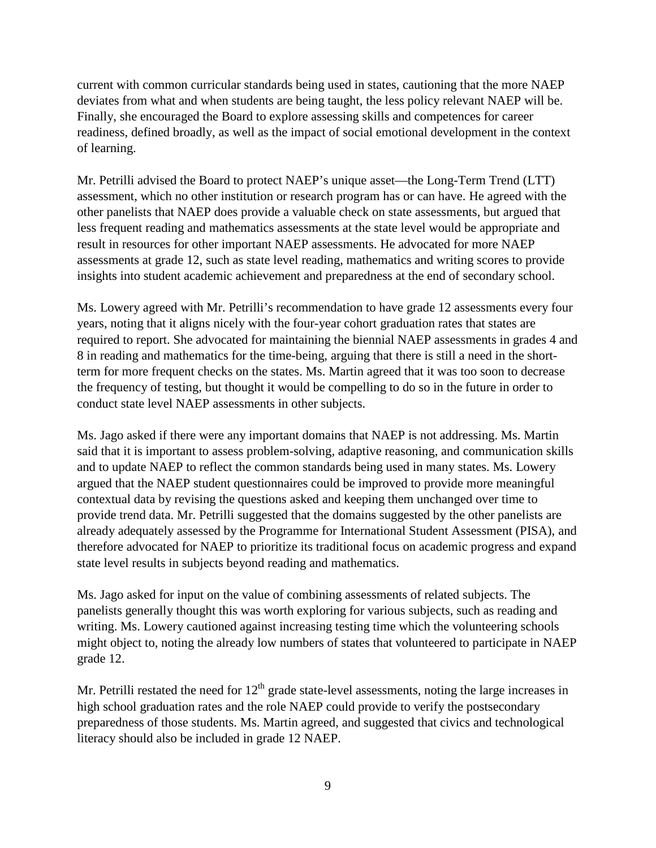current with common curricular standards being used in states, cautioning that the more NAEP deviates from what and when students are being taught, the less policy relevant NAEP will be. Finally, she encouraged the Board to explore assessing skills and competences for career readiness, defined broadly, as well as the impact of social emotional development in the context of learning.

Mr. Petrilli advised the Board to protect NAEP's unique asset––the Long-Term Trend (LTT) assessment, which no other institution or research program has or can have. He agreed with the other panelists that NAEP does provide a valuable check on state assessments, but argued that less frequent reading and mathematics assessments at the state level would be appropriate and result in resources for other important NAEP assessments. He advocated for more NAEP assessments at grade 12, such as state level reading, mathematics and writing scores to provide insights into student academic achievement and preparedness at the end of secondary school.

Ms. Lowery agreed with Mr. Petrilli's recommendation to have grade 12 assessments every four years, noting that it aligns nicely with the four-year cohort graduation rates that states are required to report. She advocated for maintaining the biennial NAEP assessments in grades 4 and 8 in reading and mathematics for the time-being, arguing that there is still a need in the shortterm for more frequent checks on the states. Ms. Martin agreed that it was too soon to decrease the frequency of testing, but thought it would be compelling to do so in the future in order to conduct state level NAEP assessments in other subjects.

Ms. Jago asked if there were any important domains that NAEP is not addressing. Ms. Martin said that it is important to assess problem-solving, adaptive reasoning, and communication skills and to update NAEP to reflect the common standards being used in many states. Ms. Lowery argued that the NAEP student questionnaires could be improved to provide more meaningful contextual data by revising the questions asked and keeping them unchanged over time to provide trend data. Mr. Petrilli suggested that the domains suggested by the other panelists are already adequately assessed by the Programme for International Student Assessment (PISA), and therefore advocated for NAEP to prioritize its traditional focus on academic progress and expand state level results in subjects beyond reading and mathematics.

Ms. Jago asked for input on the value of combining assessments of related subjects. The panelists generally thought this was worth exploring for various subjects, such as reading and writing. Ms. Lowery cautioned against increasing testing time which the volunteering schools might object to, noting the already low numbers of states that volunteered to participate in NAEP grade 12.

Mr. Petrilli restated the need for  $12<sup>th</sup>$  grade state-level assessments, noting the large increases in high school graduation rates and the role NAEP could provide to verify the postsecondary preparedness of those students. Ms. Martin agreed, and suggested that civics and technological literacy should also be included in grade 12 NAEP.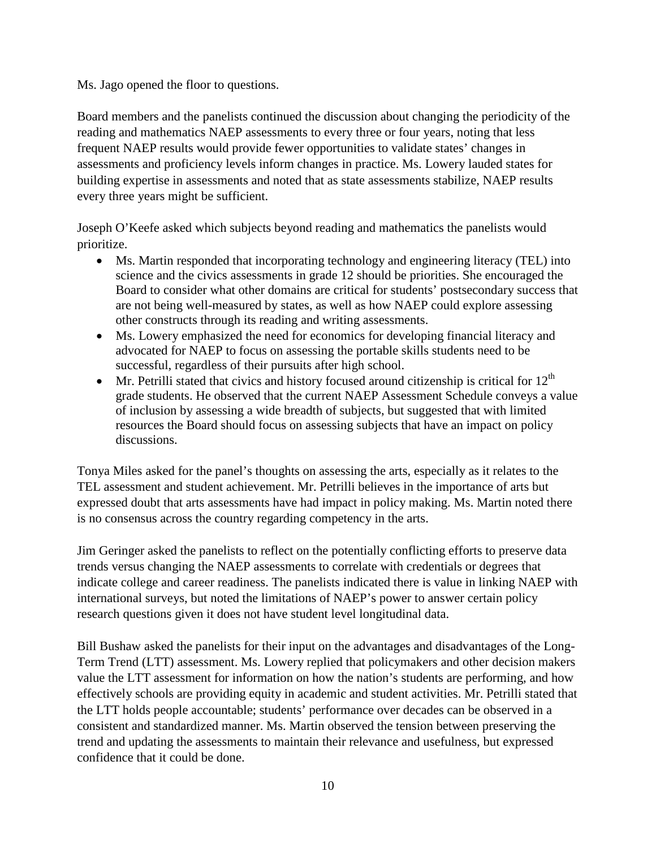Ms. Jago opened the floor to questions.

Board members and the panelists continued the discussion about changing the periodicity of the reading and mathematics NAEP assessments to every three or four years, noting that less frequent NAEP results would provide fewer opportunities to validate states' changes in assessments and proficiency levels inform changes in practice. Ms. Lowery lauded states for building expertise in assessments and noted that as state assessments stabilize, NAEP results every three years might be sufficient.

Joseph O'Keefe asked which subjects beyond reading and mathematics the panelists would prioritize.

- Ms. Martin responded that incorporating technology and engineering literacy (TEL) into science and the civics assessments in grade 12 should be priorities. She encouraged the Board to consider what other domains are critical for students' postsecondary success that are not being well-measured by states, as well as how NAEP could explore assessing other constructs through its reading and writing assessments.
- Ms. Lowery emphasized the need for economics for developing financial literacy and advocated for NAEP to focus on assessing the portable skills students need to be successful, regardless of their pursuits after high school.
- Mr. Petrilli stated that civics and history focused around citizenship is critical for  $12<sup>th</sup>$ grade students. He observed that the current NAEP Assessment Schedule conveys a value of inclusion by assessing a wide breadth of subjects, but suggested that with limited resources the Board should focus on assessing subjects that have an impact on policy discussions.

Tonya Miles asked for the panel's thoughts on assessing the arts, especially as it relates to the TEL assessment and student achievement. Mr. Petrilli believes in the importance of arts but expressed doubt that arts assessments have had impact in policy making. Ms. Martin noted there is no consensus across the country regarding competency in the arts.

Jim Geringer asked the panelists to reflect on the potentially conflicting efforts to preserve data trends versus changing the NAEP assessments to correlate with credentials or degrees that indicate college and career readiness. The panelists indicated there is value in linking NAEP with international surveys, but noted the limitations of NAEP's power to answer certain policy research questions given it does not have student level longitudinal data.

Bill Bushaw asked the panelists for their input on the advantages and disadvantages of the Long-Term Trend (LTT) assessment. Ms. Lowery replied that policymakers and other decision makers value the LTT assessment for information on how the nation's students are performing, and how effectively schools are providing equity in academic and student activities. Mr. Petrilli stated that the LTT holds people accountable; students' performance over decades can be observed in a consistent and standardized manner. Ms. Martin observed the tension between preserving the trend and updating the assessments to maintain their relevance and usefulness, but expressed confidence that it could be done.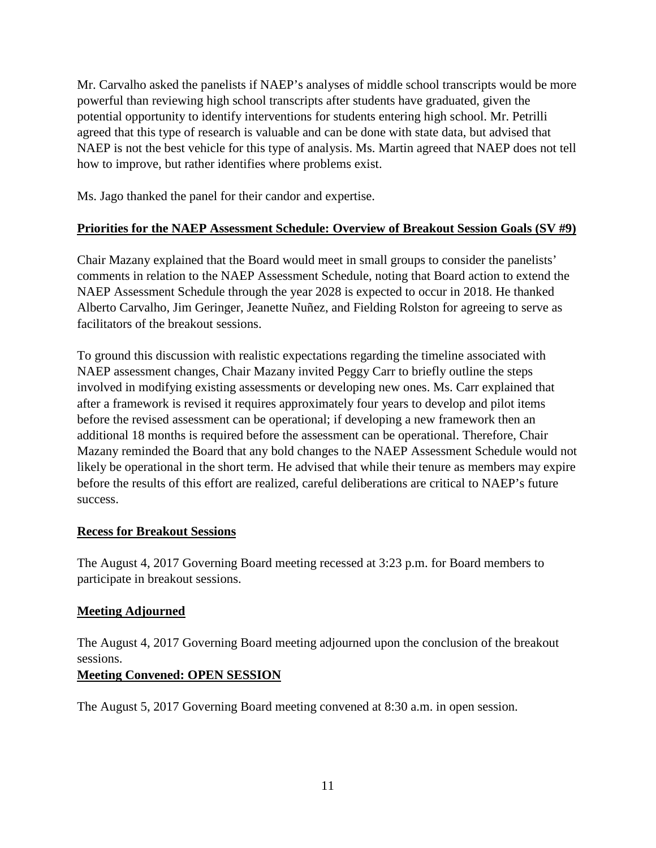Mr. Carvalho asked the panelists if NAEP's analyses of middle school transcripts would be more powerful than reviewing high school transcripts after students have graduated, given the potential opportunity to identify interventions for students entering high school. Mr. Petrilli agreed that this type of research is valuable and can be done with state data, but advised that NAEP is not the best vehicle for this type of analysis. Ms. Martin agreed that NAEP does not tell how to improve, but rather identifies where problems exist.

Ms. Jago thanked the panel for their candor and expertise.

#### **Priorities for the NAEP Assessment Schedule: Overview of Breakout Session Goals (SV #9)**

Chair Mazany explained that the Board would meet in small groups to consider the panelists' comments in relation to the NAEP Assessment Schedule, noting that Board action to extend the NAEP Assessment Schedule through the year 2028 is expected to occur in 2018. He thanked Alberto Carvalho, Jim Geringer, Jeanette Nuñez, and Fielding Rolston for agreeing to serve as facilitators of the breakout sessions.

To ground this discussion with realistic expectations regarding the timeline associated with NAEP assessment changes, Chair Mazany invited Peggy Carr to briefly outline the steps involved in modifying existing assessments or developing new ones. Ms. Carr explained that after a framework is revised it requires approximately four years to develop and pilot items before the revised assessment can be operational; if developing a new framework then an additional 18 months is required before the assessment can be operational. Therefore, Chair Mazany reminded the Board that any bold changes to the NAEP Assessment Schedule would not likely be operational in the short term. He advised that while their tenure as members may expire before the results of this effort are realized, careful deliberations are critical to NAEP's future success.

#### **Recess for Breakout Sessions**

The August 4, 2017 Governing Board meeting recessed at 3:23 p.m. for Board members to participate in breakout sessions.

#### **Meeting Adjourned**

The August 4, 2017 Governing Board meeting adjourned upon the conclusion of the breakout sessions.

#### **Meeting Convened: OPEN SESSION**

The August 5, 2017 Governing Board meeting convened at 8:30 a.m. in open session.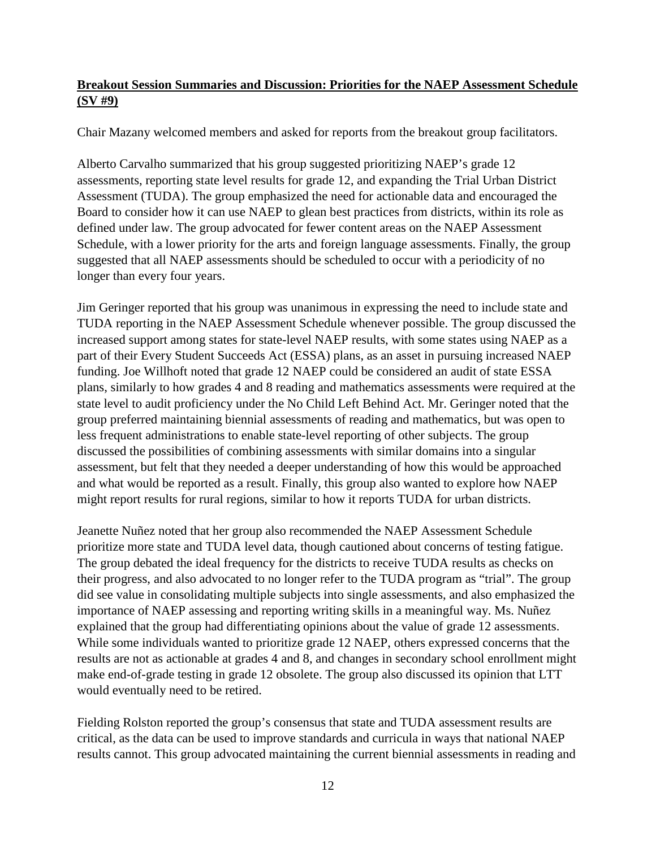#### **Breakout Session Summaries and Discussion: Priorities for the NAEP Assessment Schedule (SV #9)**

Chair Mazany welcomed members and asked for reports from the breakout group facilitators.

Alberto Carvalho summarized that his group suggested prioritizing NAEP's grade 12 assessments, reporting state level results for grade 12, and expanding the Trial Urban District Assessment (TUDA). The group emphasized the need for actionable data and encouraged the Board to consider how it can use NAEP to glean best practices from districts, within its role as defined under law. The group advocated for fewer content areas on the NAEP Assessment Schedule, with a lower priority for the arts and foreign language assessments. Finally, the group suggested that all NAEP assessments should be scheduled to occur with a periodicity of no longer than every four years.

Jim Geringer reported that his group was unanimous in expressing the need to include state and TUDA reporting in the NAEP Assessment Schedule whenever possible. The group discussed the increased support among states for state-level NAEP results, with some states using NAEP as a part of their Every Student Succeeds Act (ESSA) plans, as an asset in pursuing increased NAEP funding. Joe Willhoft noted that grade 12 NAEP could be considered an audit of state ESSA plans, similarly to how grades 4 and 8 reading and mathematics assessments were required at the state level to audit proficiency under the No Child Left Behind Act. Mr. Geringer noted that the group preferred maintaining biennial assessments of reading and mathematics, but was open to less frequent administrations to enable state-level reporting of other subjects. The group discussed the possibilities of combining assessments with similar domains into a singular assessment, but felt that they needed a deeper understanding of how this would be approached and what would be reported as a result. Finally, this group also wanted to explore how NAEP might report results for rural regions, similar to how it reports TUDA for urban districts.

Jeanette Nuñez noted that her group also recommended the NAEP Assessment Schedule prioritize more state and TUDA level data, though cautioned about concerns of testing fatigue. The group debated the ideal frequency for the districts to receive TUDA results as checks on their progress, and also advocated to no longer refer to the TUDA program as "trial". The group did see value in consolidating multiple subjects into single assessments, and also emphasized the importance of NAEP assessing and reporting writing skills in a meaningful way. Ms. Nuñez explained that the group had differentiating opinions about the value of grade 12 assessments. While some individuals wanted to prioritize grade 12 NAEP, others expressed concerns that the results are not as actionable at grades 4 and 8, and changes in secondary school enrollment might make end-of-grade testing in grade 12 obsolete. The group also discussed its opinion that LTT would eventually need to be retired.

Fielding Rolston reported the group's consensus that state and TUDA assessment results are critical, as the data can be used to improve standards and curricula in ways that national NAEP results cannot. This group advocated maintaining the current biennial assessments in reading and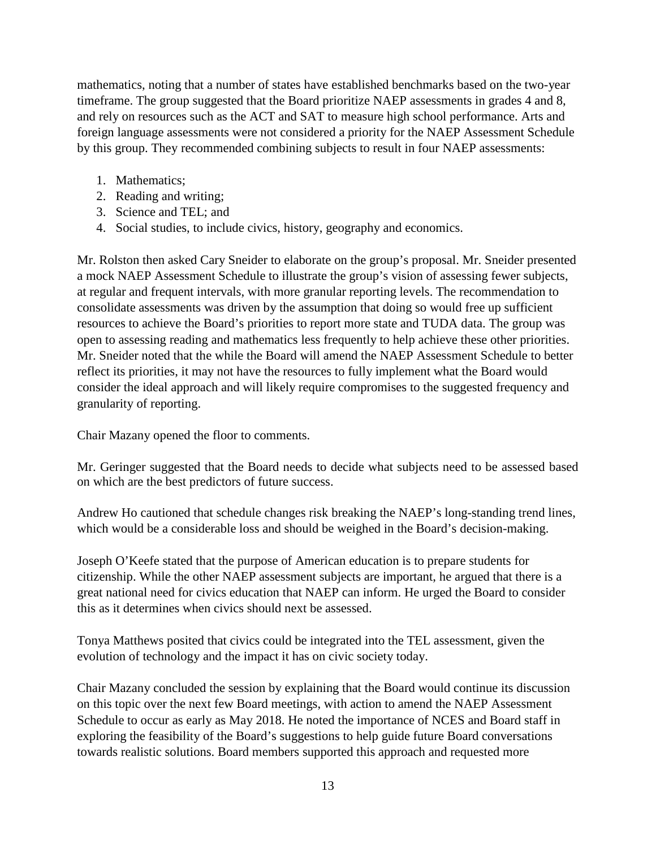mathematics, noting that a number of states have established benchmarks based on the two-year timeframe. The group suggested that the Board prioritize NAEP assessments in grades 4 and 8, and rely on resources such as the ACT and SAT to measure high school performance. Arts and foreign language assessments were not considered a priority for the NAEP Assessment Schedule by this group. They recommended combining subjects to result in four NAEP assessments:

- 1. Mathematics;
- 2. Reading and writing;
- 3. Science and TEL; and
- 4. Social studies, to include civics, history, geography and economics.

Mr. Rolston then asked Cary Sneider to elaborate on the group's proposal. Mr. Sneider presented a mock NAEP Assessment Schedule to illustrate the group's vision of assessing fewer subjects, at regular and frequent intervals, with more granular reporting levels. The recommendation to consolidate assessments was driven by the assumption that doing so would free up sufficient resources to achieve the Board's priorities to report more state and TUDA data. The group was open to assessing reading and mathematics less frequently to help achieve these other priorities. Mr. Sneider noted that the while the Board will amend the NAEP Assessment Schedule to better reflect its priorities, it may not have the resources to fully implement what the Board would consider the ideal approach and will likely require compromises to the suggested frequency and granularity of reporting.

Chair Mazany opened the floor to comments.

Mr. Geringer suggested that the Board needs to decide what subjects need to be assessed based on which are the best predictors of future success.

Andrew Ho cautioned that schedule changes risk breaking the NAEP's long-standing trend lines, which would be a considerable loss and should be weighed in the Board's decision-making.

Joseph O'Keefe stated that the purpose of American education is to prepare students for citizenship. While the other NAEP assessment subjects are important, he argued that there is a great national need for civics education that NAEP can inform. He urged the Board to consider this as it determines when civics should next be assessed.

Tonya Matthews posited that civics could be integrated into the TEL assessment, given the evolution of technology and the impact it has on civic society today.

Chair Mazany concluded the session by explaining that the Board would continue its discussion on this topic over the next few Board meetings, with action to amend the NAEP Assessment Schedule to occur as early as May 2018. He noted the importance of NCES and Board staff in exploring the feasibility of the Board's suggestions to help guide future Board conversations towards realistic solutions. Board members supported this approach and requested more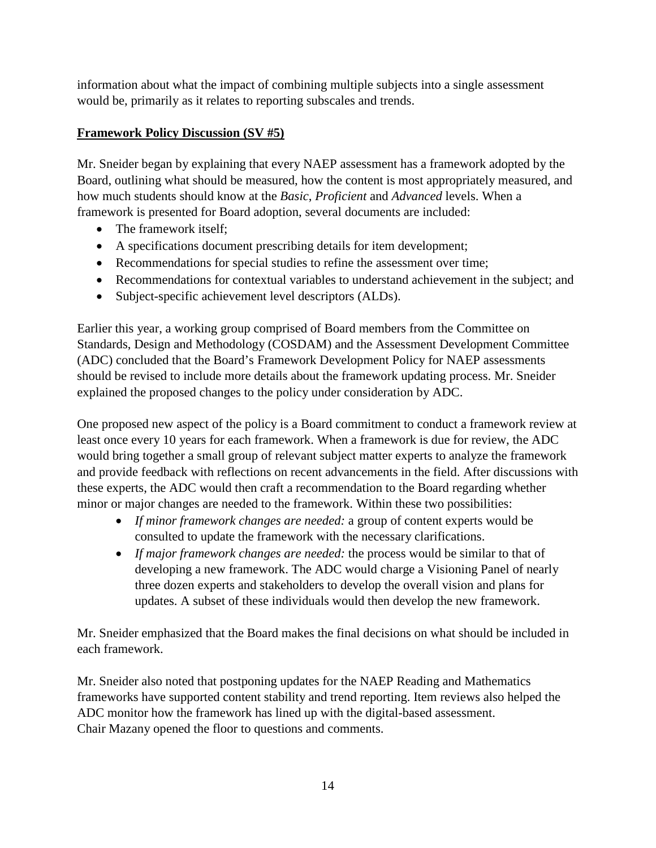information about what the impact of combining multiple subjects into a single assessment would be, primarily as it relates to reporting subscales and trends.

#### **Framework Policy Discussion (SV #5)**

Mr. Sneider began by explaining that every NAEP assessment has a framework adopted by the Board, outlining what should be measured, how the content is most appropriately measured, and how much students should know at the *Basic*, *Proficient* and *Advanced* levels. When a framework is presented for Board adoption, several documents are included:

- The framework itself:
- A specifications document prescribing details for item development;
- Recommendations for special studies to refine the assessment over time;
- Recommendations for contextual variables to understand achievement in the subject; and
- Subject-specific achievement level descriptors (ALDs).

Earlier this year, a working group comprised of Board members from the Committee on Standards, Design and Methodology (COSDAM) and the Assessment Development Committee (ADC) concluded that the Board's Framework Development Policy for NAEP assessments should be revised to include more details about the framework updating process. Mr. Sneider explained the proposed changes to the policy under consideration by ADC.

One proposed new aspect of the policy is a Board commitment to conduct a framework review at least once every 10 years for each framework. When a framework is due for review, the ADC would bring together a small group of relevant subject matter experts to analyze the framework and provide feedback with reflections on recent advancements in the field. After discussions with these experts, the ADC would then craft a recommendation to the Board regarding whether minor or major changes are needed to the framework. Within these two possibilities:

- *If minor framework changes are needed:* a group of content experts would be consulted to update the framework with the necessary clarifications.
- *If major framework changes are needed:* the process would be similar to that of developing a new framework. The ADC would charge a Visioning Panel of nearly three dozen experts and stakeholders to develop the overall vision and plans for updates. A subset of these individuals would then develop the new framework.

Mr. Sneider emphasized that the Board makes the final decisions on what should be included in each framework.

Mr. Sneider also noted that postponing updates for the NAEP Reading and Mathematics frameworks have supported content stability and trend reporting. Item reviews also helped the ADC monitor how the framework has lined up with the digital-based assessment. Chair Mazany opened the floor to questions and comments.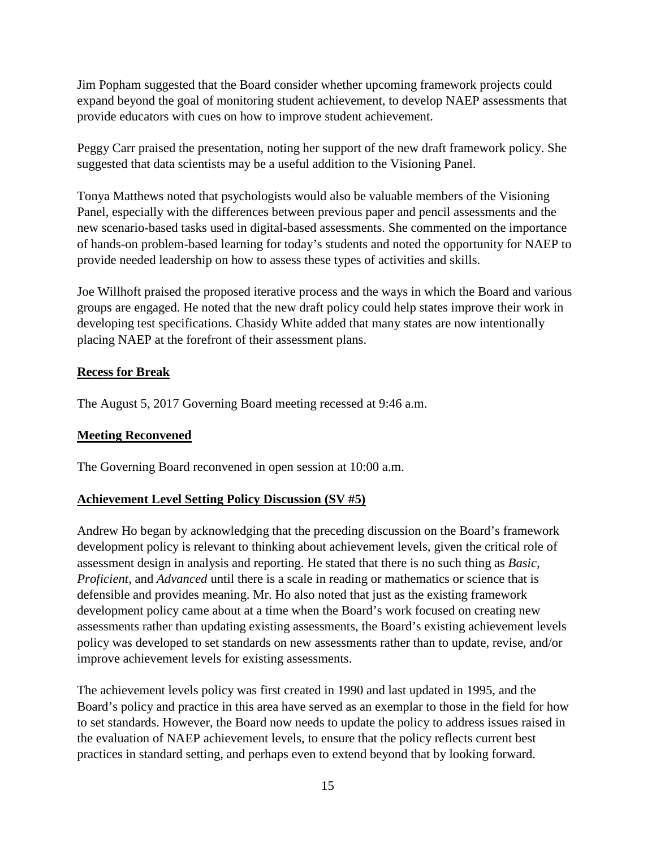Jim Popham suggested that the Board consider whether upcoming framework projects could expand beyond the goal of monitoring student achievement, to develop NAEP assessments that provide educators with cues on how to improve student achievement.

Peggy Carr praised the presentation, noting her support of the new draft framework policy. She suggested that data scientists may be a useful addition to the Visioning Panel.

Tonya Matthews noted that psychologists would also be valuable members of the Visioning Panel, especially with the differences between previous paper and pencil assessments and the new scenario-based tasks used in digital-based assessments. She commented on the importance of hands-on problem-based learning for today's students and noted the opportunity for NAEP to provide needed leadership on how to assess these types of activities and skills.

Joe Willhoft praised the proposed iterative process and the ways in which the Board and various groups are engaged. He noted that the new draft policy could help states improve their work in developing test specifications. Chasidy White added that many states are now intentionally placing NAEP at the forefront of their assessment plans.

#### **Recess for Break**

The August 5, 2017 Governing Board meeting recessed at 9:46 a.m.

#### **Meeting Reconvened**

The Governing Board reconvened in open session at 10:00 a.m.

#### **Achievement Level Setting Policy Discussion (SV #5)**

Andrew Ho began by acknowledging that the preceding discussion on the Board's framework development policy is relevant to thinking about achievement levels, given the critical role of assessment design in analysis and reporting. He stated that there is no such thing as *Basic*, *Proficient*, and *Advanced* until there is a scale in reading or mathematics or science that is defensible and provides meaning. Mr. Ho also noted that just as the existing framework development policy came about at a time when the Board's work focused on creating new assessments rather than updating existing assessments, the Board's existing achievement levels policy was developed to set standards on new assessments rather than to update, revise, and/or improve achievement levels for existing assessments.

The achievement levels policy was first created in 1990 and last updated in 1995, and the Board's policy and practice in this area have served as an exemplar to those in the field for how to set standards. However, the Board now needs to update the policy to address issues raised in the evaluation of NAEP achievement levels, to ensure that the policy reflects current best practices in standard setting, and perhaps even to extend beyond that by looking forward.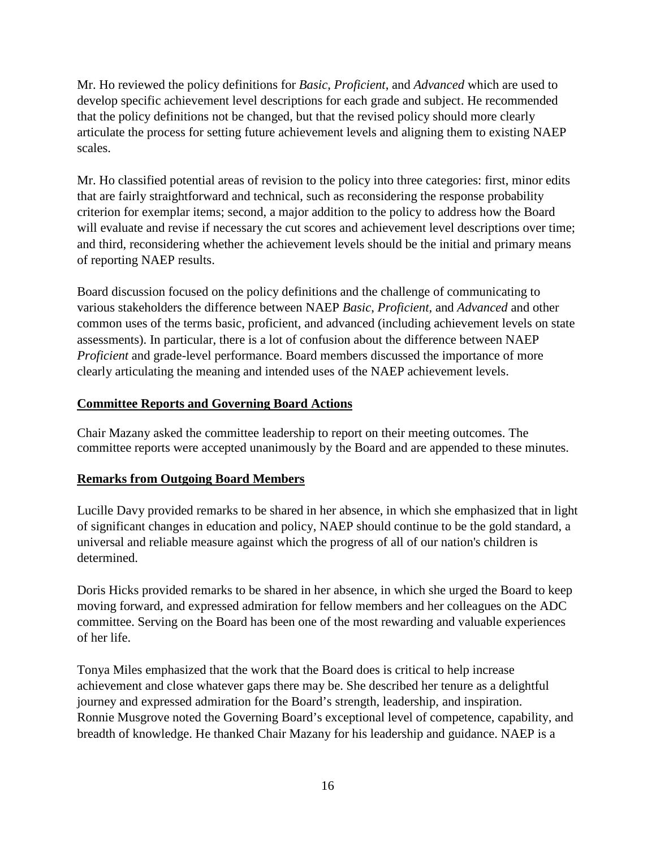Mr. Ho reviewed the policy definitions for *Basic*, *Proficient*, and *Advanced* which are used to develop specific achievement level descriptions for each grade and subject. He recommended that the policy definitions not be changed, but that the revised policy should more clearly articulate the process for setting future achievement levels and aligning them to existing NAEP scales.

Mr. Ho classified potential areas of revision to the policy into three categories: first, minor edits that are fairly straightforward and technical, such as reconsidering the response probability criterion for exemplar items; second, a major addition to the policy to address how the Board will evaluate and revise if necessary the cut scores and achievement level descriptions over time; and third, reconsidering whether the achievement levels should be the initial and primary means of reporting NAEP results.

Board discussion focused on the policy definitions and the challenge of communicating to various stakeholders the difference between NAEP *Basic*, *Proficient*, and *Advanced* and other common uses of the terms basic, proficient, and advanced (including achievement levels on state assessments). In particular, there is a lot of confusion about the difference between NAEP *Proficient* and grade-level performance. Board members discussed the importance of more clearly articulating the meaning and intended uses of the NAEP achievement levels.

#### **Committee Reports and Governing Board Actions**

Chair Mazany asked the committee leadership to report on their meeting outcomes. The committee reports were accepted unanimously by the Board and are appended to these minutes.

#### **Remarks from Outgoing Board Members**

Lucille Davy provided remarks to be shared in her absence, in which she emphasized that in light of significant changes in education and policy, NAEP should continue to be the gold standard, a universal and reliable measure against which the progress of all of our nation's children is determined.

Doris Hicks provided remarks to be shared in her absence, in which she urged the Board to keep moving forward, and expressed admiration for fellow members and her colleagues on the ADC committee. Serving on the Board has been one of the most rewarding and valuable experiences of her life.

Tonya Miles emphasized that the work that the Board does is critical to help increase achievement and close whatever gaps there may be. She described her tenure as a delightful journey and expressed admiration for the Board's strength, leadership, and inspiration. Ronnie Musgrove noted the Governing Board's exceptional level of competence, capability, and breadth of knowledge. He thanked Chair Mazany for his leadership and guidance. NAEP is a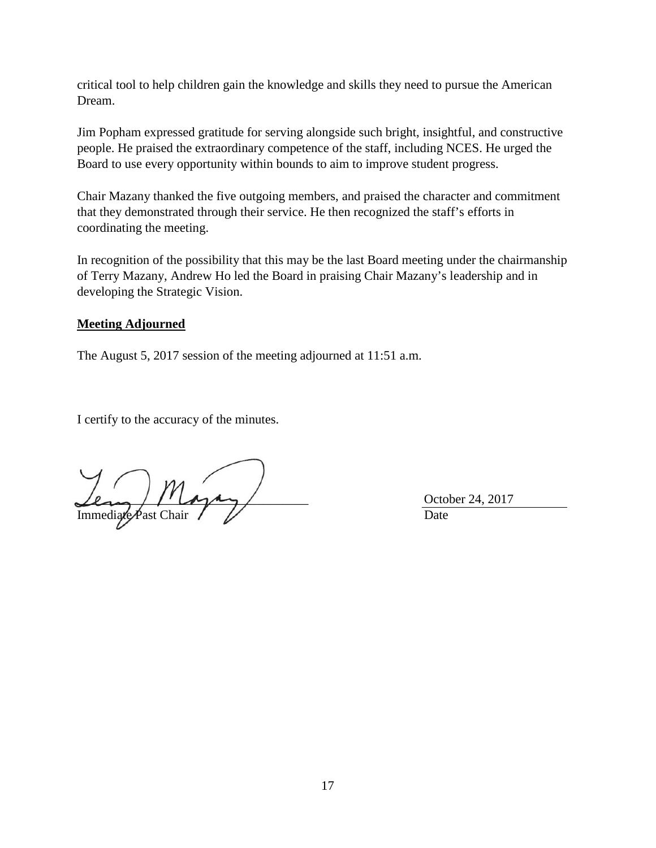critical tool to help children gain the knowledge and skills they need to pursue the American Dream.

Jim Popham expressed gratitude for serving alongside such bright, insightful, and constructive people. He praised the extraordinary competence of the staff, including NCES. He urged the Board to use every opportunity within bounds to aim to improve student progress.

Chair Mazany thanked the five outgoing members, and praised the character and commitment that they demonstrated through their service. He then recognized the staff's efforts in coordinating the meeting.

In recognition of the possibility that this may be the last Board meeting under the chairmanship of Terry Mazany, Andrew Ho led the Board in praising Chair Mazany's leadership and in developing the Strategic Vision.

#### **Meeting Adjourned**

The August 5, 2017 session of the meeting adjourned at 11:51 a.m.

I certify to the accuracy of the minutes.

Mayay October 24, 2017 Immediate Past Chair V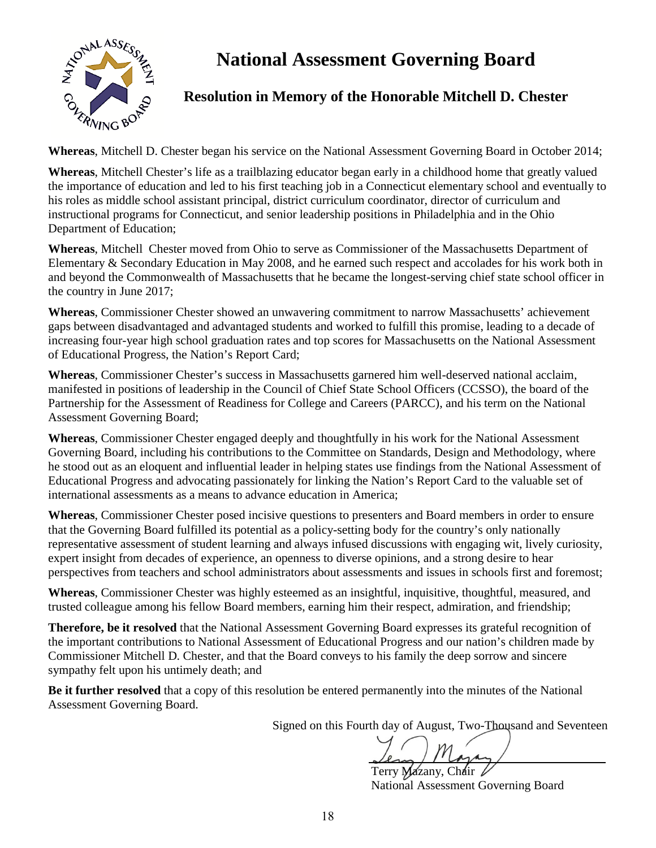**National Assessment Governing Board** 



## **Resolution in Memory of the Honorable Mitchell D. Chester**

**Whereas**, Mitchell D. Chester began his service on the National Assessment Governing Board in October 2014;

**Whereas**, Mitchell Chester's life as a trailblazing educator began early in a childhood home that greatly valued the importance of education and led to his first teaching job in a Connecticut elementary school and eventually to his roles as middle school assistant principal, district curriculum coordinator, director of curriculum and instructional programs for Connecticut, and senior leadership positions in Philadelphia and in the Ohio Department of Education;

**Whereas**, Mitchell Chester moved from Ohio to serve as Commissioner of the Massachusetts Department of Elementary & Secondary Education in May 2008, and he earned such respect and accolades for his work both in and beyond the Commonwealth of Massachusetts that he became the longest-serving chief state school officer in the country in June 2017;

**Whereas**, Commissioner Chester showed an unwavering commitment to narrow Massachusetts' achievement gaps between disadvantaged and advantaged students and worked to fulfill this promise, leading to a decade of increasing four-year high school graduation rates and top scores for Massachusetts on the National Assessment of Educational Progress, the Nation's Report Card;

**Whereas**, Commissioner Chester's success in Massachusetts garnered him well-deserved national acclaim, manifested in positions of leadership in the Council of Chief State School Officers (CCSSO), the board of the Partnership for the Assessment of Readiness for College and Careers (PARCC), and his term on the National Assessment Governing Board;

**Whereas**, Commissioner Chester engaged deeply and thoughtfully in his work for the National Assessment Governing Board, including his contributions to the Committee on Standards, Design and Methodology, where he stood out as an eloquent and influential leader in helping states use findings from the National Assessment of Educational Progress and advocating passionately for linking the Nation's Report Card to the valuable set of international assessments as a means to advance education in America;

**Whereas**, Commissioner Chester posed incisive questions to presenters and Board members in order to ensure that the Governing Board fulfilled its potential as a policy-setting body for the country's only nationally representative assessment of student learning and always infused discussions with engaging wit, lively curiosity, expert insight from decades of experience, an openness to diverse opinions, and a strong desire to hear perspectives from teachers and school administrators about assessments and issues in schools first and foremost;

**Whereas**, Commissioner Chester was highly esteemed as an insightful, inquisitive, thoughtful, measured, and trusted colleague among his fellow Board members, earning him their respect, admiration, and friendship;

**Therefore, be it resolved** that the National Assessment Governing Board expresses its grateful recognition of the important contributions to National Assessment of Educational Progress and our nation's children made by Commissioner Mitchell D. Chester, and that the Board conveys to his family the deep sorrow and sincere sympathy felt upon his untimely death; and

**Be it further resolved** that a copy of this resolution be entered permanently into the minutes of the National Assessment Governing Board.

Signed on this Fourth day of August, Two-Thousand and Seventeen

Terry Mazany, Chair

National Assessment Governing Board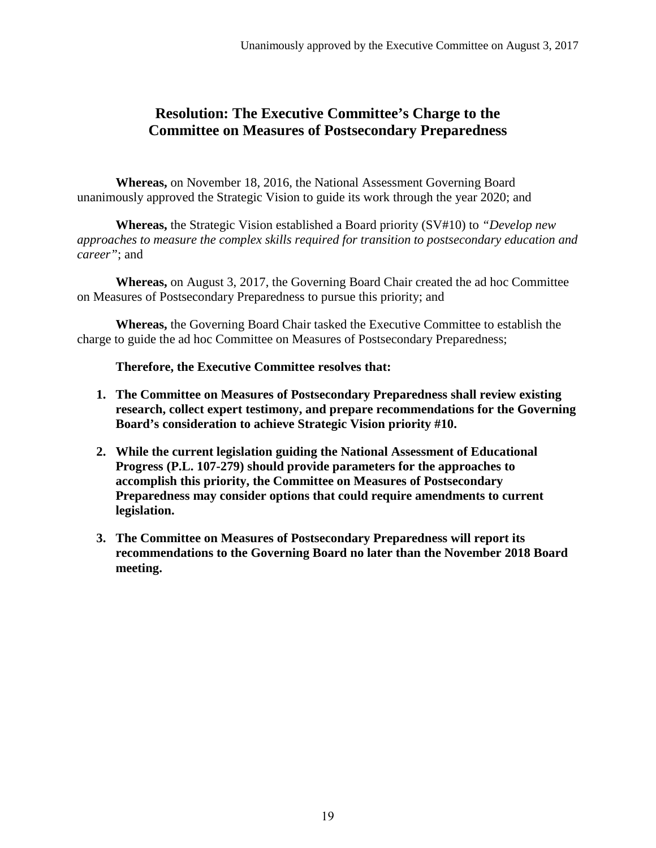## **Resolution: The Executive Committee's Charge to the Committee on Measures of Postsecondary Preparedness**

**Whereas,** on November 18, 2016, the National Assessment Governing Board unanimously approved the Strategic Vision to guide its work through the year 2020; and

**Whereas,** the Strategic Vision established a Board priority (SV#10) to *"Develop new approaches to measure the complex skills required for transition to postsecondary education and career"*; and

**Whereas,** on August 3, 2017, the Governing Board Chair created the ad hoc Committee on Measures of Postsecondary Preparedness to pursue this priority; and

**Whereas,** the Governing Board Chair tasked the Executive Committee to establish the charge to guide the ad hoc Committee on Measures of Postsecondary Preparedness;

**Therefore, the Executive Committee resolves that:** 

- **1. The Committee on Measures of Postsecondary Preparedness shall review existing research, collect expert testimony, and prepare recommendations for the Governing Board's consideration to achieve Strategic Vision priority #10.**
- **2. While the current legislation guiding the National Assessment of Educational Progress (P.L. 107-279) should provide parameters for the approaches to accomplish this priority, the Committee on Measures of Postsecondary Preparedness may consider options that could require amendments to current legislation.**
- **3. The Committee on Measures of Postsecondary Preparedness will report its recommendations to the Governing Board no later than the November 2018 Board meeting.**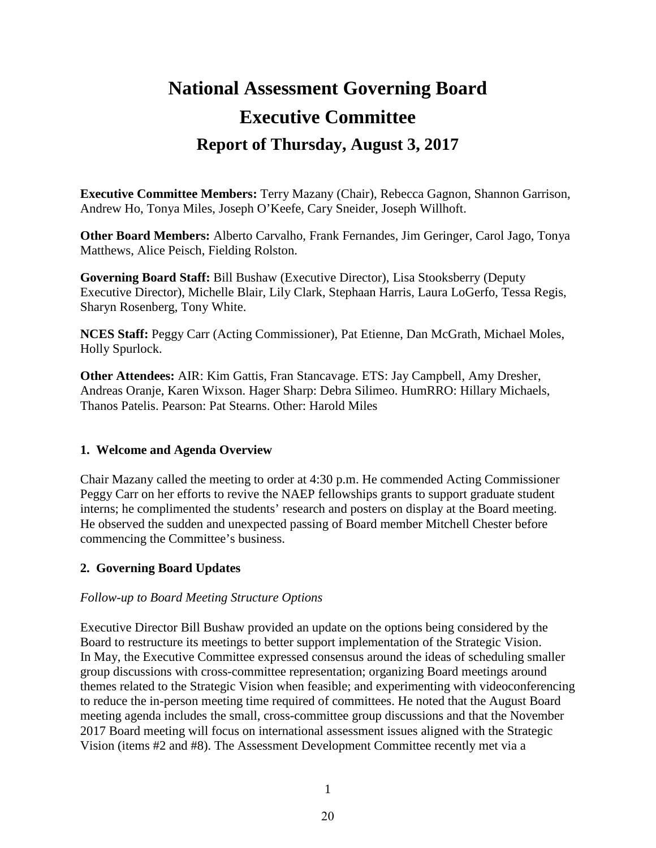# **National Assessment Governing Board Executive Committee Report of Thursday, August 3, 2017**

**Executive Committee Members:** Terry Mazany (Chair), Rebecca Gagnon, Shannon Garrison, Andrew Ho, Tonya Miles, Joseph O'Keefe, Cary Sneider, Joseph Willhoft.

**Other Board Members:** Alberto Carvalho, Frank Fernandes, Jim Geringer, Carol Jago, Tonya Matthews, Alice Peisch, Fielding Rolston.

**Governing Board Staff:** Bill Bushaw (Executive Director), Lisa Stooksberry (Deputy Executive Director), Michelle Blair, Lily Clark, Stephaan Harris, Laura LoGerfo, Tessa Regis, Sharyn Rosenberg, Tony White.

**NCES Staff:** Peggy Carr (Acting Commissioner), Pat Etienne, Dan McGrath, Michael Moles, Holly Spurlock.

**Other Attendees:** AIR: Kim Gattis, Fran Stancavage. ETS: Jay Campbell, Amy Dresher, Andreas Oranje, Karen Wixson. Hager Sharp: Debra Silimeo. HumRRO: Hillary Michaels, Thanos Patelis. Pearson: Pat Stearns. Other: Harold Miles

#### **1. Welcome and Agenda Overview**

Chair Mazany called the meeting to order at 4:30 p.m. He commended Acting Commissioner Peggy Carr on her efforts to revive the NAEP fellowships grants to support graduate student interns; he complimented the students' research and posters on display at the Board meeting. He observed the sudden and unexpected passing of Board member Mitchell Chester before commencing the Committee's business.

#### **2. Governing Board Updates**

#### *Follow-up to Board Meeting Structure Options*

Executive Director Bill Bushaw provided an update on the options being considered by the Board to restructure its meetings to better support implementation of the Strategic Vision. In May, the Executive Committee expressed consensus around the ideas of scheduling smaller group discussions with cross-committee representation; organizing Board meetings around themes related to the Strategic Vision when feasible; and experimenting with videoconferencing to reduce the in-person meeting time required of committees. He noted that the August Board meeting agenda includes the small, cross-committee group discussions and that the November 2017 Board meeting will focus on international assessment issues aligned with the Strategic Vision (items #2 and #8). The Assessment Development Committee recently met via a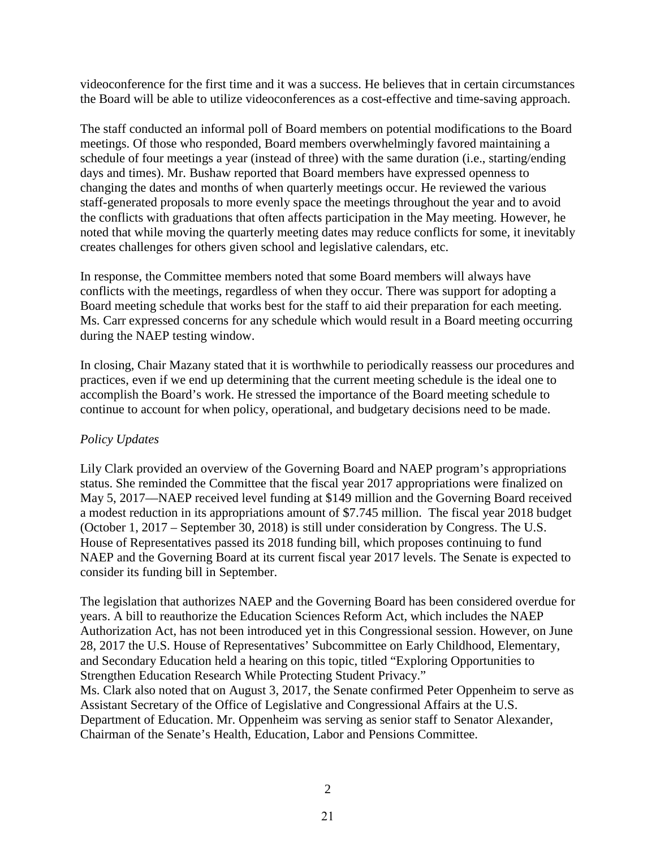videoconference for the first time and it was a success. He believes that in certain circumstances the Board will be able to utilize videoconferences as a cost-effective and time-saving approach.

The staff conducted an informal poll of Board members on potential modifications to the Board meetings. Of those who responded, Board members overwhelmingly favored maintaining a schedule of four meetings a year (instead of three) with the same duration (i.e., starting/ending days and times). Mr. Bushaw reported that Board members have expressed openness to changing the dates and months of when quarterly meetings occur. He reviewed the various staff-generated proposals to more evenly space the meetings throughout the year and to avoid the conflicts with graduations that often affects participation in the May meeting. However, he noted that while moving the quarterly meeting dates may reduce conflicts for some, it inevitably creates challenges for others given school and legislative calendars, etc.

In response, the Committee members noted that some Board members will always have conflicts with the meetings, regardless of when they occur. There was support for adopting a Board meeting schedule that works best for the staff to aid their preparation for each meeting. Ms. Carr expressed concerns for any schedule which would result in a Board meeting occurring during the NAEP testing window.

In closing, Chair Mazany stated that it is worthwhile to periodically reassess our procedures and practices, even if we end up determining that the current meeting schedule is the ideal one to accomplish the Board's work. He stressed the importance of the Board meeting schedule to continue to account for when policy, operational, and budgetary decisions need to be made.

#### *Policy Updates*

Lily Clark provided an overview of the Governing Board and NAEP program's appropriations status. She reminded the Committee that the fiscal year 2017 appropriations were finalized on May 5, 2017––NAEP received level funding at \$149 million and the Governing Board received a modest reduction in its appropriations amount of \$7.745 million. The fiscal year 2018 budget (October 1, 2017 – September 30, 2018) is still under consideration by Congress. The U.S. House of Representatives passed its 2018 funding bill, which proposes continuing to fund NAEP and the Governing Board at its current fiscal year 2017 levels. The Senate is expected to consider its funding bill in September.

The legislation that authorizes NAEP and the Governing Board has been considered overdue for years. A bill to reauthorize the Education Sciences Reform Act, which includes the NAEP Authorization Act, has not been introduced yet in this Congressional session. However, on June 28, 2017 the U.S. House of Representatives' Subcommittee on Early Childhood, Elementary, and Secondary Education held a hearing on this topic, titled "Exploring Opportunities to Strengthen Education Research While Protecting Student Privacy." Ms. Clark also noted that on August 3, 2017, the Senate confirmed Peter Oppenheim to serve as Assistant Secretary of the Office of Legislative and Congressional Affairs at the U.S.

Department of Education. Mr. Oppenheim was serving as senior staff to Senator Alexander, Chairman of the Senate's Health, Education, Labor and Pensions Committee.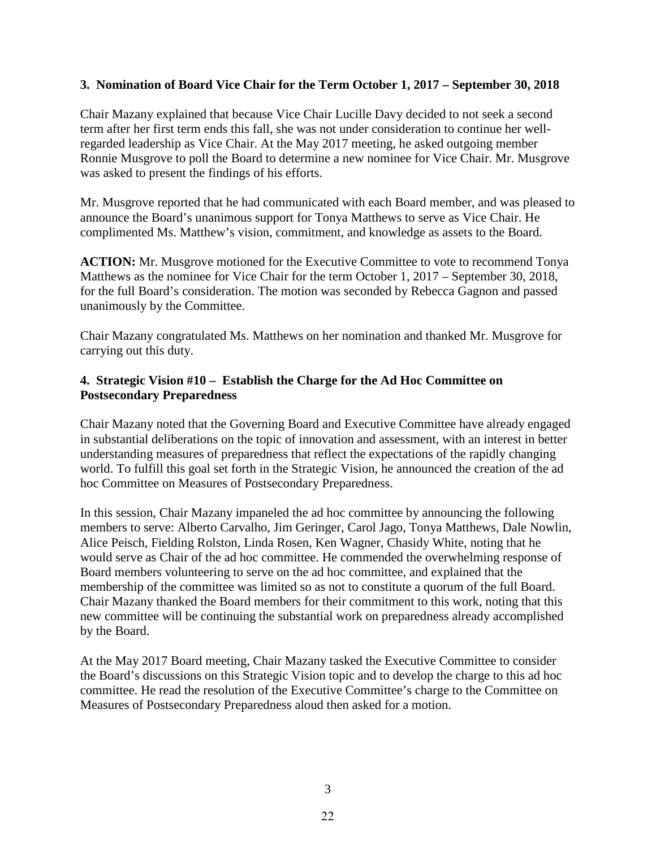#### **3. Nomination of Board Vice Chair for the Term October 1, 2017 – September 30, 2018**

Chair Mazany explained that because Vice Chair Lucille Davy decided to not seek a second term after her first term ends this fall, she was not under consideration to continue her wellregarded leadership as Vice Chair. At the May 2017 meeting, he asked outgoing member Ronnie Musgrove to poll the Board to determine a new nominee for Vice Chair. Mr. Musgrove was asked to present the findings of his efforts.

Mr. Musgrove reported that he had communicated with each Board member, and was pleased to announce the Board's unanimous support for Tonya Matthews to serve as Vice Chair. He complimented Ms. Matthew's vision, commitment, and knowledge as assets to the Board.

**ACTION:** Mr. Musgrove motioned for the Executive Committee to vote to recommend Tonya Matthews as the nominee for Vice Chair for the term October 1, 2017 – September 30, 2018, for the full Board's consideration. The motion was seconded by Rebecca Gagnon and passed unanimously by the Committee.

Chair Mazany congratulated Ms. Matthews on her nomination and thanked Mr. Musgrove for carrying out this duty.

#### **4. Strategic Vision #10 – Establish the Charge for the Ad Hoc Committee on Postsecondary Preparedness**

Chair Mazany noted that the Governing Board and Executive Committee have already engaged in substantial deliberations on the topic of innovation and assessment, with an interest in better understanding measures of preparedness that reflect the expectations of the rapidly changing world. To fulfill this goal set forth in the Strategic Vision, he announced the creation of the ad hoc Committee on Measures of Postsecondary Preparedness.

In this session, Chair Mazany impaneled the ad hoc committee by announcing the following members to serve: Alberto Carvalho, Jim Geringer, Carol Jago, Tonya Matthews, Dale Nowlin, Alice Peisch, Fielding Rolston, Linda Rosen, Ken Wagner, Chasidy White, noting that he would serve as Chair of the ad hoc committee. He commended the overwhelming response of Board members volunteering to serve on the ad hoc committee, and explained that the membership of the committee was limited so as not to constitute a quorum of the full Board. Chair Mazany thanked the Board members for their commitment to this work, noting that this new committee will be continuing the substantial work on preparedness already accomplished by the Board.

At the May 2017 Board meeting, Chair Mazany tasked the Executive Committee to consider the Board's discussions on this Strategic Vision topic and to develop the charge to this ad hoc committee. He read the resolution of the Executive Committee's charge to the Committee on Measures of Postsecondary Preparedness aloud then asked for a motion.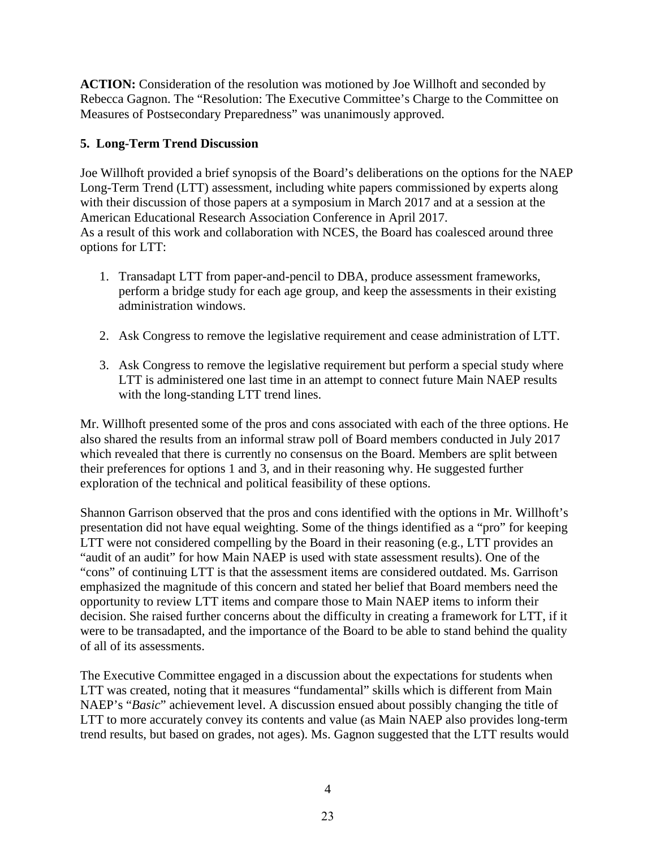**ACTION:** Consideration of the resolution was motioned by Joe Willhoft and seconded by Rebecca Gagnon. The "Resolution: The Executive Committee's Charge to the Committee on Measures of Postsecondary Preparedness" was unanimously approved.

#### **5. Long-Term Trend Discussion**

Joe Willhoft provided a brief synopsis of the Board's deliberations on the options for the NAEP Long-Term Trend (LTT) assessment, including white papers commissioned by experts along with their discussion of those papers at a symposium in March 2017 and at a session at the American Educational Research Association Conference in April 2017. As a result of this work and collaboration with NCES, the Board has coalesced around three options for LTT:

- 1. Transadapt LTT from paper-and-pencil to DBA, produce assessment frameworks, perform a bridge study for each age group, and keep the assessments in their existing administration windows.
- 2. Ask Congress to remove the legislative requirement and cease administration of LTT.
- 3. Ask Congress to remove the legislative requirement but perform a special study where LTT is administered one last time in an attempt to connect future Main NAEP results with the long-standing LTT trend lines.

Mr. Willhoft presented some of the pros and cons associated with each of the three options. He also shared the results from an informal straw poll of Board members conducted in July 2017 which revealed that there is currently no consensus on the Board. Members are split between their preferences for options 1 and 3, and in their reasoning why. He suggested further exploration of the technical and political feasibility of these options.

Shannon Garrison observed that the pros and cons identified with the options in Mr. Willhoft's presentation did not have equal weighting. Some of the things identified as a "pro" for keeping LTT were not considered compelling by the Board in their reasoning (e.g., LTT provides an "audit of an audit" for how Main NAEP is used with state assessment results). One of the "cons" of continuing LTT is that the assessment items are considered outdated. Ms. Garrison emphasized the magnitude of this concern and stated her belief that Board members need the opportunity to review LTT items and compare those to Main NAEP items to inform their decision. She raised further concerns about the difficulty in creating a framework for LTT, if it were to be transadapted, and the importance of the Board to be able to stand behind the quality of all of its assessments.

The Executive Committee engaged in a discussion about the expectations for students when LTT was created, noting that it measures "fundamental" skills which is different from Main NAEP's "*Basic*" achievement level. A discussion ensued about possibly changing the title of LTT to more accurately convey its contents and value (as Main NAEP also provides long-term trend results, but based on grades, not ages). Ms. Gagnon suggested that the LTT results would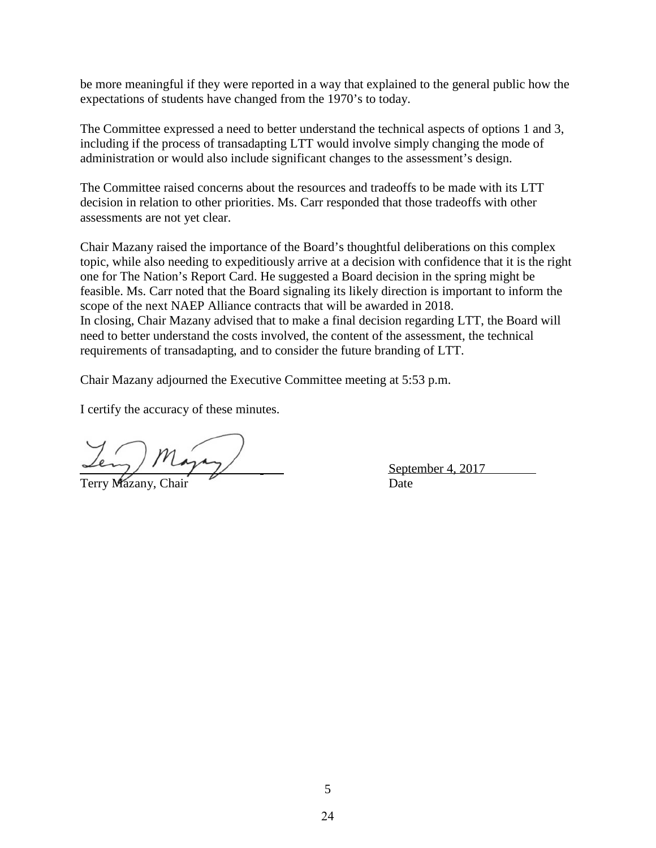be more meaningful if they were reported in a way that explained to the general public how the expectations of students have changed from the 1970's to today.

The Committee expressed a need to better understand the technical aspects of options 1 and 3, including if the process of transadapting LTT would involve simply changing the mode of administration or would also include significant changes to the assessment's design.

The Committee raised concerns about the resources and tradeoffs to be made with its LTT decision in relation to other priorities. Ms. Carr responded that those tradeoffs with other assessments are not yet clear.

Chair Mazany raised the importance of the Board's thoughtful deliberations on this complex topic, while also needing to expeditiously arrive at a decision with confidence that it is the right one for The Nation's Report Card. He suggested a Board decision in the spring might be feasible. Ms. Carr noted that the Board signaling its likely direction is important to inform the scope of the next NAEP Alliance contracts that will be awarded in 2018. In closing, Chair Mazany advised that to make a final decision regarding LTT, the Board will need to better understand the costs involved, the content of the assessment, the technical requirements of transadapting, and to consider the future branding of LTT.

Chair Mazany adjourned the Executive Committee meeting at 5:53 p.m.

I certify the accuracy of these minutes.

Terry Mazany, Chair Date

September 4, 2017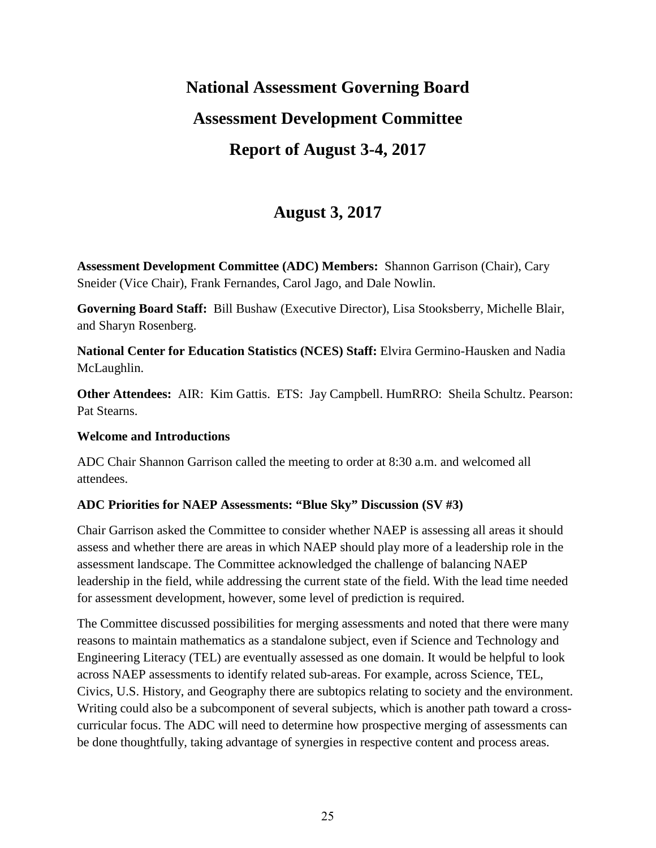# **National Assessment Governing Board Assessment Development Committee Report of August 3-4, 2017**

## **August 3, 2017**

**Assessment Development Committee (ADC) Members:** Shannon Garrison (Chair), Cary Sneider (Vice Chair), Frank Fernandes, Carol Jago, and Dale Nowlin.

**Governing Board Staff:** Bill Bushaw (Executive Director), Lisa Stooksberry, Michelle Blair, and Sharyn Rosenberg.

**National Center for Education Statistics (NCES) Staff:** Elvira Germino-Hausken and Nadia McLaughlin.

**Other Attendees:** AIR: Kim Gattis. ETS: Jay Campbell. HumRRO: Sheila Schultz. Pearson: Pat Stearns.

#### **Welcome and Introductions**

ADC Chair Shannon Garrison called the meeting to order at 8:30 a.m. and welcomed all attendees.

#### **ADC Priorities for NAEP Assessments: "Blue Sky" Discussion (SV #3)**

Chair Garrison asked the Committee to consider whether NAEP is assessing all areas it should assess and whether there are areas in which NAEP should play more of a leadership role in the assessment landscape. The Committee acknowledged the challenge of balancing NAEP leadership in the field, while addressing the current state of the field. With the lead time needed for assessment development, however, some level of prediction is required.

The Committee discussed possibilities for merging assessments and noted that there were many reasons to maintain mathematics as a standalone subject, even if Science and Technology and Engineering Literacy (TEL) are eventually assessed as one domain. It would be helpful to look across NAEP assessments to identify related sub-areas. For example, across Science, TEL, Civics, U.S. History, and Geography there are subtopics relating to society and the environment. Writing could also be a subcomponent of several subjects, which is another path toward a crosscurricular focus. The ADC will need to determine how prospective merging of assessments can be done thoughtfully, taking advantage of synergies in respective content and process areas.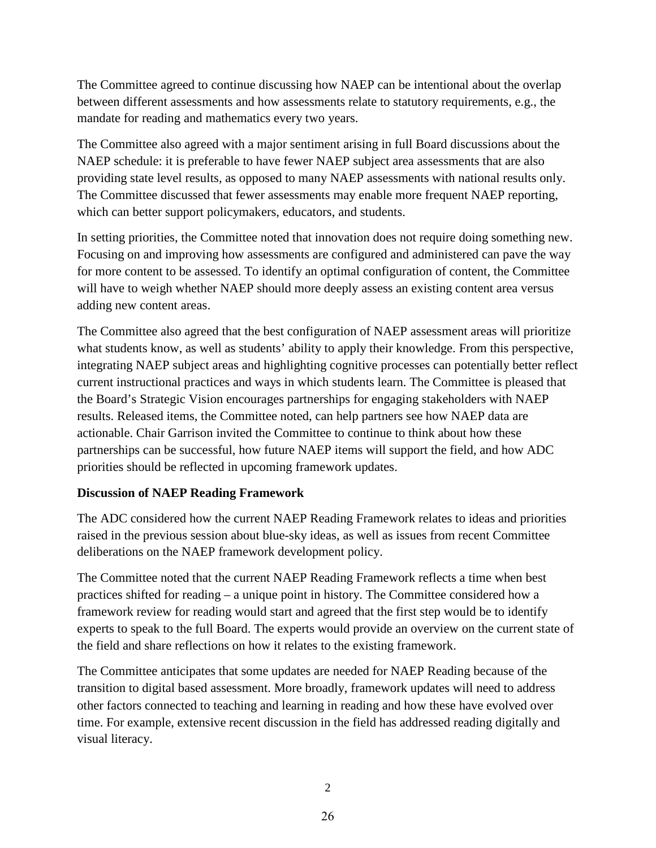The Committee agreed to continue discussing how NAEP can be intentional about the overlap between different assessments and how assessments relate to statutory requirements, e.g., the mandate for reading and mathematics every two years.

The Committee also agreed with a major sentiment arising in full Board discussions about the NAEP schedule: it is preferable to have fewer NAEP subject area assessments that are also providing state level results, as opposed to many NAEP assessments with national results only. The Committee discussed that fewer assessments may enable more frequent NAEP reporting, which can better support policymakers, educators, and students.

In setting priorities, the Committee noted that innovation does not require doing something new. Focusing on and improving how assessments are configured and administered can pave the way for more content to be assessed. To identify an optimal configuration of content, the Committee will have to weigh whether NAEP should more deeply assess an existing content area versus adding new content areas.

The Committee also agreed that the best configuration of NAEP assessment areas will prioritize what students know, as well as students' ability to apply their knowledge. From this perspective, integrating NAEP subject areas and highlighting cognitive processes can potentially better reflect current instructional practices and ways in which students learn. The Committee is pleased that the Board's Strategic Vision encourages partnerships for engaging stakeholders with NAEP results. Released items, the Committee noted, can help partners see how NAEP data are actionable. Chair Garrison invited the Committee to continue to think about how these partnerships can be successful, how future NAEP items will support the field, and how ADC priorities should be reflected in upcoming framework updates.

#### **Discussion of NAEP Reading Framework**

The ADC considered how the current NAEP Reading Framework relates to ideas and priorities raised in the previous session about blue-sky ideas, as well as issues from recent Committee deliberations on the NAEP framework development policy.

The Committee noted that the current NAEP Reading Framework reflects a time when best practices shifted for reading – a unique point in history. The Committee considered how a framework review for reading would start and agreed that the first step would be to identify experts to speak to the full Board. The experts would provide an overview on the current state of the field and share reflections on how it relates to the existing framework.

The Committee anticipates that some updates are needed for NAEP Reading because of the transition to digital based assessment. More broadly, framework updates will need to address other factors connected to teaching and learning in reading and how these have evolved over time. For example, extensive recent discussion in the field has addressed reading digitally and visual literacy.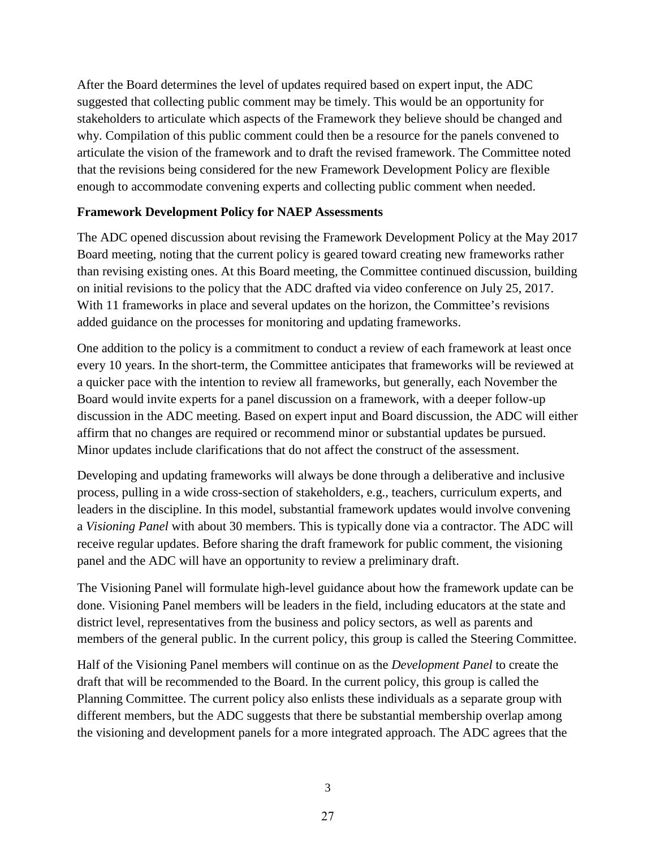After the Board determines the level of updates required based on expert input, the ADC suggested that collecting public comment may be timely. This would be an opportunity for stakeholders to articulate which aspects of the Framework they believe should be changed and why. Compilation of this public comment could then be a resource for the panels convened to articulate the vision of the framework and to draft the revised framework. The Committee noted that the revisions being considered for the new Framework Development Policy are flexible enough to accommodate convening experts and collecting public comment when needed.

#### **Framework Development Policy for NAEP Assessments**

The ADC opened discussion about revising the Framework Development Policy at the May 2017 Board meeting, noting that the current policy is geared toward creating new frameworks rather than revising existing ones. At this Board meeting, the Committee continued discussion, building on initial revisions to the policy that the ADC drafted via video conference on July 25, 2017. With 11 frameworks in place and several updates on the horizon, the Committee's revisions added guidance on the processes for monitoring and updating frameworks.

One addition to the policy is a commitment to conduct a review of each framework at least once every 10 years. In the short-term, the Committee anticipates that frameworks will be reviewed at a quicker pace with the intention to review all frameworks, but generally, each November the Board would invite experts for a panel discussion on a framework, with a deeper follow-up discussion in the ADC meeting. Based on expert input and Board discussion, the ADC will either affirm that no changes are required or recommend minor or substantial updates be pursued. Minor updates include clarifications that do not affect the construct of the assessment.

Developing and updating frameworks will always be done through a deliberative and inclusive process, pulling in a wide cross-section of stakeholders, e.g., teachers, curriculum experts, and leaders in the discipline. In this model, substantial framework updates would involve convening a *Visioning Panel* with about 30 members. This is typically done via a contractor. The ADC will receive regular updates. Before sharing the draft framework for public comment, the visioning panel and the ADC will have an opportunity to review a preliminary draft.

The Visioning Panel will formulate high-level guidance about how the framework update can be done. Visioning Panel members will be leaders in the field, including educators at the state and district level, representatives from the business and policy sectors, as well as parents and members of the general public. In the current policy, this group is called the Steering Committee.

Half of the Visioning Panel members will continue on as the *Development Panel* to create the draft that will be recommended to the Board. In the current policy, this group is called the Planning Committee. The current policy also enlists these individuals as a separate group with different members, but the ADC suggests that there be substantial membership overlap among the visioning and development panels for a more integrated approach. The ADC agrees that the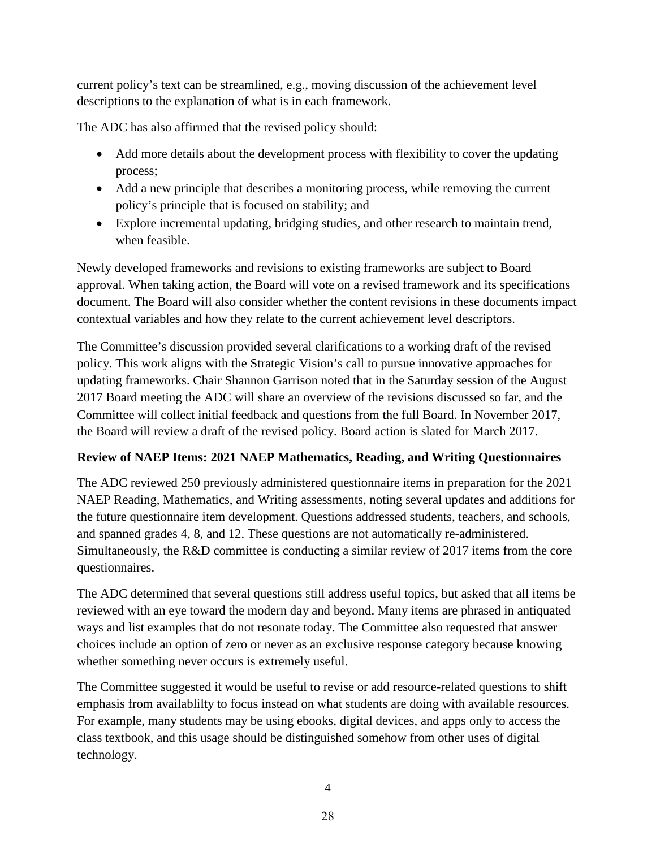current policy's text can be streamlined, e.g., moving discussion of the achievement level descriptions to the explanation of what is in each framework.

The ADC has also affirmed that the revised policy should:

- Add more details about the development process with flexibility to cover the updating process;
- Add a new principle that describes a monitoring process, while removing the current policy's principle that is focused on stability; and
- Explore incremental updating, bridging studies, and other research to maintain trend, when feasible.

Newly developed frameworks and revisions to existing frameworks are subject to Board approval. When taking action, the Board will vote on a revised framework and its specifications document. The Board will also consider whether the content revisions in these documents impact contextual variables and how they relate to the current achievement level descriptors.

The Committee's discussion provided several clarifications to a working draft of the revised policy. This work aligns with the Strategic Vision's call to pursue innovative approaches for updating frameworks. Chair Shannon Garrison noted that in the Saturday session of the August 2017 Board meeting the ADC will share an overview of the revisions discussed so far, and the Committee will collect initial feedback and questions from the full Board. In November 2017, the Board will review a draft of the revised policy. Board action is slated for March 2017.

#### **Review of NAEP Items: 2021 NAEP Mathematics, Reading, and Writing Questionnaires**

The ADC reviewed 250 previously administered questionnaire items in preparation for the 2021 NAEP Reading, Mathematics, and Writing assessments, noting several updates and additions for the future questionnaire item development. Questions addressed students, teachers, and schools, and spanned grades 4, 8, and 12. These questions are not automatically re-administered. Simultaneously, the R&D committee is conducting a similar review of 2017 items from the core questionnaires.

The ADC determined that several questions still address useful topics, but asked that all items be reviewed with an eye toward the modern day and beyond. Many items are phrased in antiquated ways and list examples that do not resonate today. The Committee also requested that answer choices include an option of zero or never as an exclusive response category because knowing whether something never occurs is extremely useful.

The Committee suggested it would be useful to revise or add resource-related questions to shift emphasis from availablilty to focus instead on what students are doing with available resources. For example, many students may be using ebooks, digital devices, and apps only to access the class textbook, and this usage should be distinguished somehow from other uses of digital technology.

4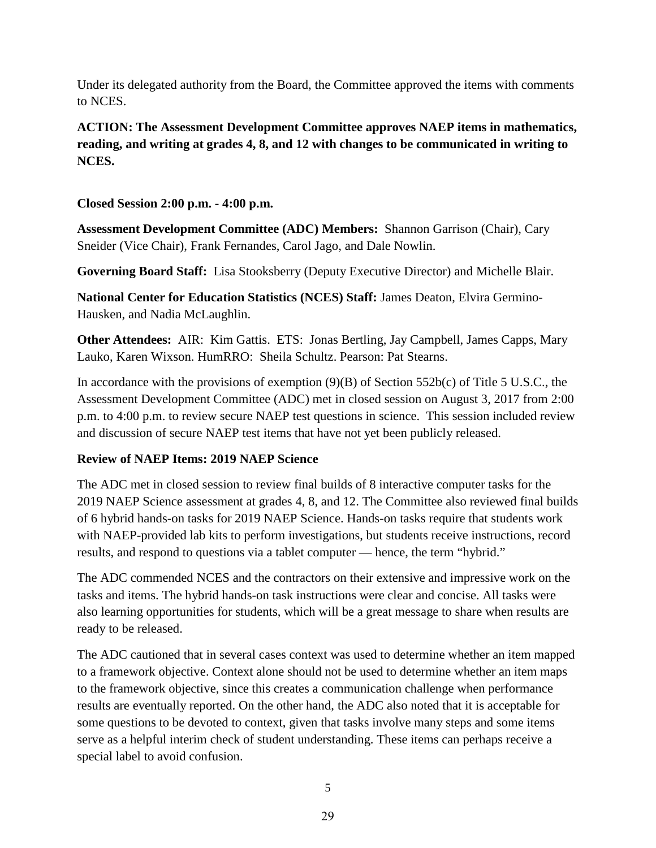Under its delegated authority from the Board, the Committee approved the items with comments to NCES.

**ACTION: The Assessment Development Committee approves NAEP items in mathematics, reading, and writing at grades 4, 8, and 12 with changes to be communicated in writing to NCES.**

**Closed Session 2:00 p.m. - 4:00 p.m.** 

**Assessment Development Committee (ADC) Members:** Shannon Garrison (Chair), Cary Sneider (Vice Chair), Frank Fernandes, Carol Jago, and Dale Nowlin.

**Governing Board Staff:** Lisa Stooksberry (Deputy Executive Director) and Michelle Blair.

**National Center for Education Statistics (NCES) Staff:** James Deaton, Elvira Germino-Hausken, and Nadia McLaughlin.

**Other Attendees:** AIR: Kim Gattis. ETS: Jonas Bertling, Jay Campbell, James Capps, Mary Lauko, Karen Wixson. HumRRO: Sheila Schultz. Pearson: Pat Stearns.

In accordance with the provisions of exemption  $(9)(B)$  of Section 552b(c) of Title 5 U.S.C., the Assessment Development Committee (ADC) met in closed session on August 3, 2017 from 2:00 p.m. to 4:00 p.m. to review secure NAEP test questions in science. This session included review and discussion of secure NAEP test items that have not yet been publicly released.

#### **Review of NAEP Items: 2019 NAEP Science**

The ADC met in closed session to review final builds of 8 interactive computer tasks for the 2019 NAEP Science assessment at grades 4, 8, and 12. The Committee also reviewed final builds of 6 hybrid hands-on tasks for 2019 NAEP Science. Hands-on tasks require that students work with NAEP-provided lab kits to perform investigations, but students receive instructions, record results, and respond to questions via a tablet computer — hence, the term "hybrid."

The ADC commended NCES and the contractors on their extensive and impressive work on the tasks and items. The hybrid hands-on task instructions were clear and concise. All tasks were also learning opportunities for students, which will be a great message to share when results are ready to be released.

The ADC cautioned that in several cases context was used to determine whether an item mapped to a framework objective. Context alone should not be used to determine whether an item maps to the framework objective, since this creates a communication challenge when performance results are eventually reported. On the other hand, the ADC also noted that it is acceptable for some questions to be devoted to context, given that tasks involve many steps and some items serve as a helpful interim check of student understanding. These items can perhaps receive a special label to avoid confusion.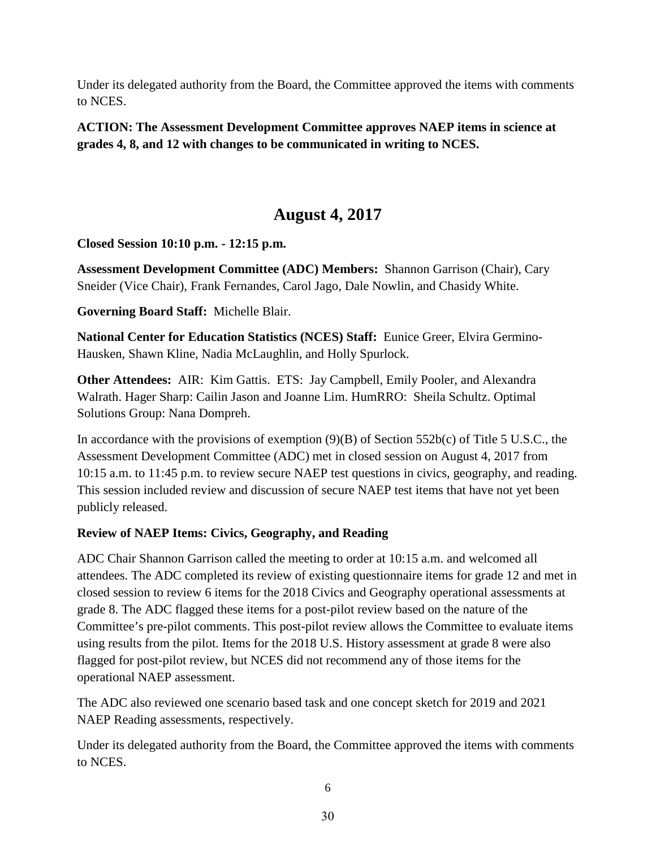Under its delegated authority from the Board, the Committee approved the items with comments to NCES.

**ACTION: The Assessment Development Committee approves NAEP items in science at grades 4, 8, and 12 with changes to be communicated in writing to NCES.** 

## **August 4, 2017**

**Closed Session 10:10 p.m. - 12:15 p.m.** 

**Assessment Development Committee (ADC) Members:** Shannon Garrison (Chair), Cary Sneider (Vice Chair), Frank Fernandes, Carol Jago, Dale Nowlin, and Chasidy White.

**Governing Board Staff:** Michelle Blair.

**National Center for Education Statistics (NCES) Staff:** Eunice Greer, Elvira Germino-Hausken, Shawn Kline, Nadia McLaughlin, and Holly Spurlock.

**Other Attendees:** AIR: Kim Gattis. ETS: Jay Campbell, Emily Pooler, and Alexandra Walrath. Hager Sharp: Cailin Jason and Joanne Lim. HumRRO: Sheila Schultz. Optimal Solutions Group: Nana Dompreh.

In accordance with the provisions of exemption  $(9)(B)$  of Section 552b(c) of Title 5 U.S.C., the Assessment Development Committee (ADC) met in closed session on August 4, 2017 from 10:15 a.m. to 11:45 p.m. to review secure NAEP test questions in civics, geography, and reading. This session included review and discussion of secure NAEP test items that have not yet been publicly released.

#### **Review of NAEP Items: Civics, Geography, and Reading**

ADC Chair Shannon Garrison called the meeting to order at 10:15 a.m. and welcomed all attendees. The ADC completed its review of existing questionnaire items for grade 12 and met in closed session to review 6 items for the 2018 Civics and Geography operational assessments at grade 8. The ADC flagged these items for a post-pilot review based on the nature of the Committee's pre-pilot comments. This post-pilot review allows the Committee to evaluate items using results from the pilot. Items for the 2018 U.S. History assessment at grade 8 were also flagged for post-pilot review, but NCES did not recommend any of those items for the operational NAEP assessment.

The ADC also reviewed one scenario based task and one concept sketch for 2019 and 2021 NAEP Reading assessments, respectively.

Under its delegated authority from the Board, the Committee approved the items with comments to NCES.

6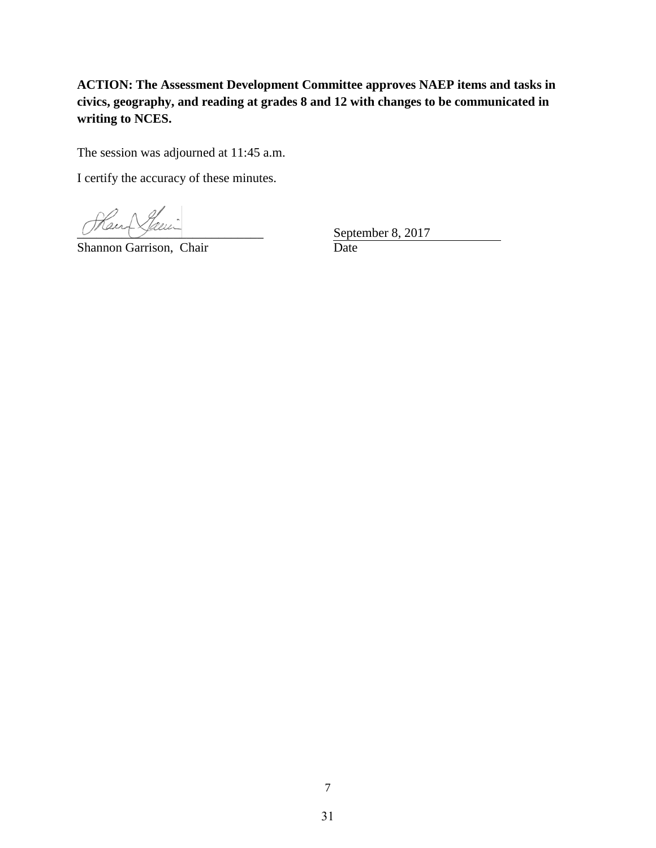**ACTION: The Assessment Development Committee approves NAEP items and tasks in civics, geography, and reading at grades 8 and 12 with changes to be communicated in writing to NCES.**

The session was adjourned at 11:45 a.m.

I certify the accuracy of these minutes.

Hand Steen

Shannon Garrison, Chair

September 8, 2017 **Date**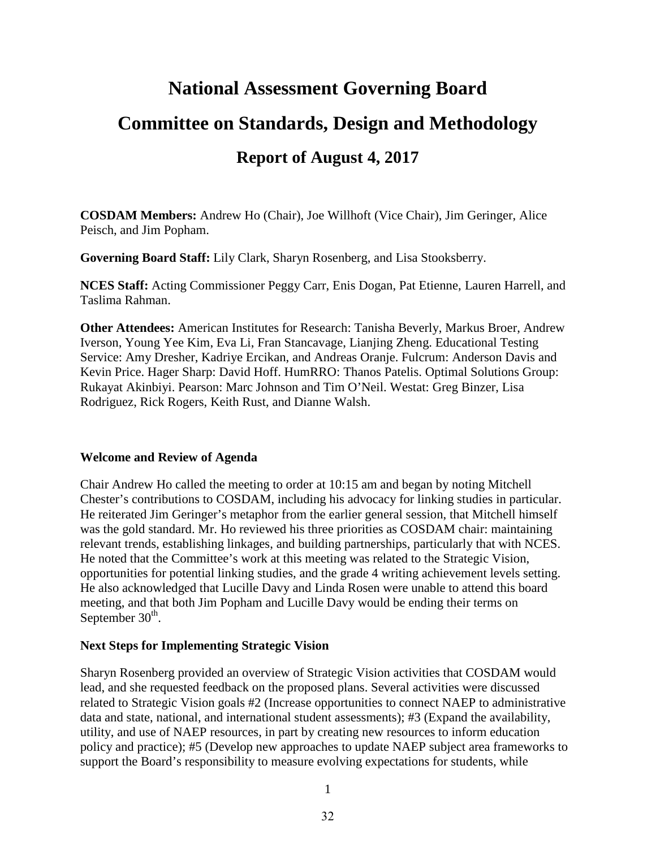# **National Assessment Governing Board Committee on Standards, Design and Methodology Report of August 4, 2017**

**COSDAM Members:** Andrew Ho (Chair), Joe Willhoft (Vice Chair), Jim Geringer, Alice Peisch, and Jim Popham.

**Governing Board Staff:** Lily Clark, Sharyn Rosenberg, and Lisa Stooksberry.

**NCES Staff:** Acting Commissioner Peggy Carr, Enis Dogan, Pat Etienne, Lauren Harrell, and Taslima Rahman.

**Other Attendees:** American Institutes for Research: Tanisha Beverly, Markus Broer, Andrew Iverson, Young Yee Kim, Eva Li, Fran Stancavage, Lianjing Zheng. Educational Testing Service: Amy Dresher, Kadriye Ercikan, and Andreas Oranje. Fulcrum: Anderson Davis and Kevin Price. Hager Sharp: David Hoff. HumRRO: Thanos Patelis. Optimal Solutions Group: Rukayat Akinbiyi. Pearson: Marc Johnson and Tim O'Neil. Westat: Greg Binzer, Lisa Rodriguez, Rick Rogers, Keith Rust, and Dianne Walsh.

#### **Welcome and Review of Agenda**

Chair Andrew Ho called the meeting to order at 10:15 am and began by noting Mitchell Chester's contributions to COSDAM, including his advocacy for linking studies in particular. He reiterated Jim Geringer's metaphor from the earlier general session, that Mitchell himself was the gold standard. Mr. Ho reviewed his three priorities as COSDAM chair: maintaining relevant trends, establishing linkages, and building partnerships, particularly that with NCES. He noted that the Committee's work at this meeting was related to the Strategic Vision, opportunities for potential linking studies, and the grade 4 writing achievement levels setting. He also acknowledged that Lucille Davy and Linda Rosen were unable to attend this board meeting, and that both Jim Popham and Lucille Davy would be ending their terms on September  $30<sup>th</sup>$ .

#### **Next Steps for Implementing Strategic Vision**

Sharyn Rosenberg provided an overview of Strategic Vision activities that COSDAM would lead, and she requested feedback on the proposed plans. Several activities were discussed related to Strategic Vision goals #2 (Increase opportunities to connect NAEP to administrative data and state, national, and international student assessments); #3 (Expand the availability, utility, and use of NAEP resources, in part by creating new resources to inform education policy and practice); #5 (Develop new approaches to update NAEP subject area frameworks to support the Board's responsibility to measure evolving expectations for students, while

1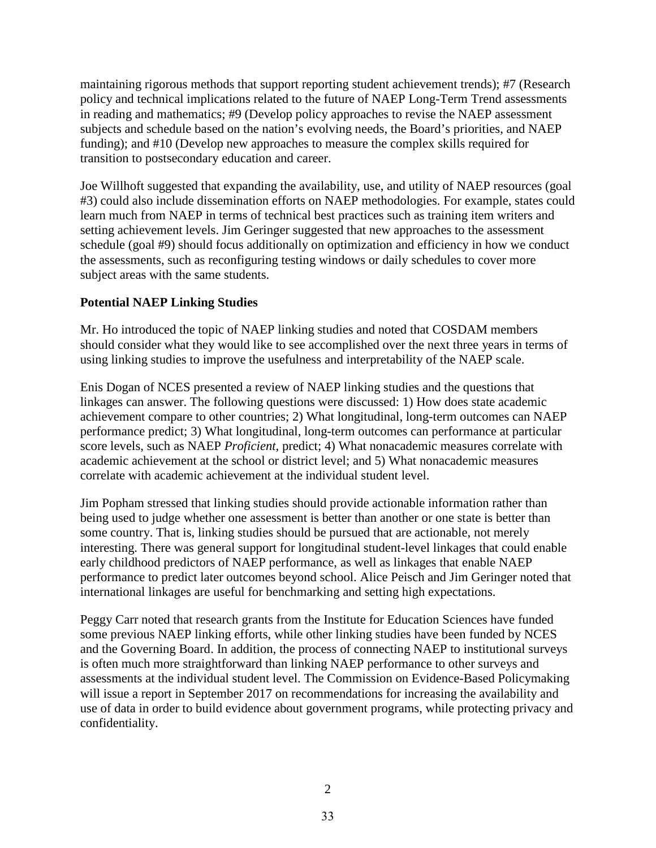maintaining rigorous methods that support reporting student achievement trends); #7 (Research policy and technical implications related to the future of NAEP Long-Term Trend assessments in reading and mathematics; #9 (Develop policy approaches to revise the NAEP assessment subjects and schedule based on the nation's evolving needs, the Board's priorities, and NAEP funding); and #10 (Develop new approaches to measure the complex skills required for transition to postsecondary education and career.

Joe Willhoft suggested that expanding the availability, use, and utility of NAEP resources (goal #3) could also include dissemination efforts on NAEP methodologies. For example, states could learn much from NAEP in terms of technical best practices such as training item writers and setting achievement levels. Jim Geringer suggested that new approaches to the assessment schedule (goal #9) should focus additionally on optimization and efficiency in how we conduct the assessments, such as reconfiguring testing windows or daily schedules to cover more subject areas with the same students.

#### **Potential NAEP Linking Studies**

Mr. Ho introduced the topic of NAEP linking studies and noted that COSDAM members should consider what they would like to see accomplished over the next three years in terms of using linking studies to improve the usefulness and interpretability of the NAEP scale.

Enis Dogan of NCES presented a review of NAEP linking studies and the questions that linkages can answer. The following questions were discussed: 1) How does state academic achievement compare to other countries; 2) What longitudinal, long-term outcomes can NAEP performance predict; 3) What longitudinal, long-term outcomes can performance at particular score levels, such as NAEP *Proficient*, predict; 4) What nonacademic measures correlate with academic achievement at the school or district level; and 5) What nonacademic measures correlate with academic achievement at the individual student level.

Jim Popham stressed that linking studies should provide actionable information rather than being used to judge whether one assessment is better than another or one state is better than some country. That is, linking studies should be pursued that are actionable, not merely interesting. There was general support for longitudinal student-level linkages that could enable early childhood predictors of NAEP performance, as well as linkages that enable NAEP performance to predict later outcomes beyond school. Alice Peisch and Jim Geringer noted that international linkages are useful for benchmarking and setting high expectations.

Peggy Carr noted that research grants from the Institute for Education Sciences have funded some previous NAEP linking efforts, while other linking studies have been funded by NCES and the Governing Board. In addition, the process of connecting NAEP to institutional surveys is often much more straightforward than linking NAEP performance to other surveys and assessments at the individual student level. The Commission on Evidence-Based Policymaking will issue a report in September 2017 on recommendations for increasing the availability and use of data in order to build evidence about government programs, while protecting privacy and confidentiality.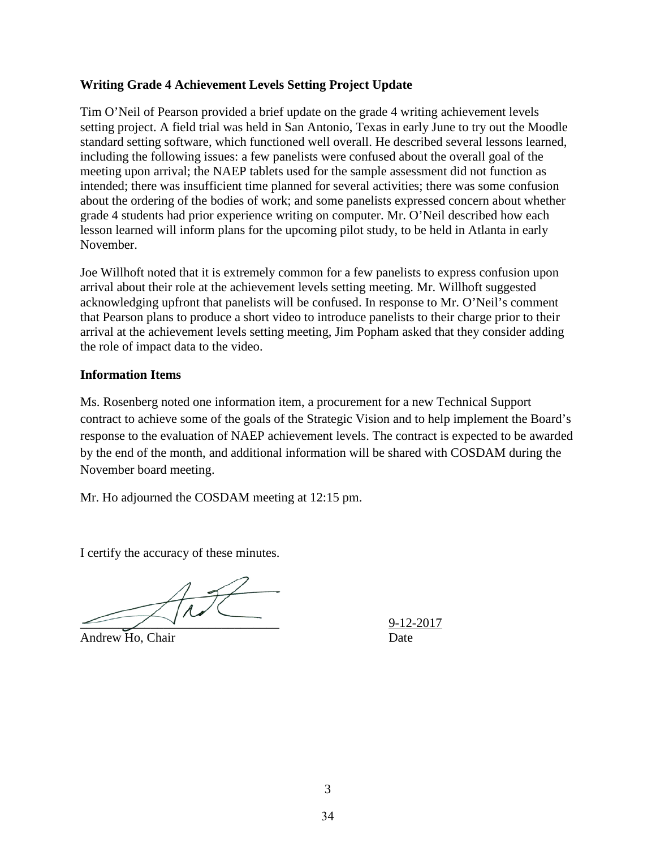#### **Writing Grade 4 Achievement Levels Setting Project Update**

Tim O'Neil of Pearson provided a brief update on the grade 4 writing achievement levels setting project. A field trial was held in San Antonio, Texas in early June to try out the Moodle standard setting software, which functioned well overall. He described several lessons learned, including the following issues: a few panelists were confused about the overall goal of the meeting upon arrival; the NAEP tablets used for the sample assessment did not function as intended; there was insufficient time planned for several activities; there was some confusion about the ordering of the bodies of work; and some panelists expressed concern about whether grade 4 students had prior experience writing on computer. Mr. O'Neil described how each lesson learned will inform plans for the upcoming pilot study, to be held in Atlanta in early November.

Joe Willhoft noted that it is extremely common for a few panelists to express confusion upon arrival about their role at the achievement levels setting meeting. Mr. Willhoft suggested acknowledging upfront that panelists will be confused. In response to Mr. O'Neil's comment that Pearson plans to produce a short video to introduce panelists to their charge prior to their arrival at the achievement levels setting meeting, Jim Popham asked that they consider adding the role of impact data to the video.

#### **Information Items**

Ms. Rosenberg noted one information item, a procurement for a new Technical Support contract to achieve some of the goals of the Strategic Vision and to help implement the Board's response to the evaluation of NAEP achievement levels. The contract is expected to be awarded by the end of the month, and additional information will be shared with COSDAM during the November board meeting.

Mr. Ho adjourned the COSDAM meeting at 12:15 pm.

I certify the accuracy of these minutes.

 $\bigvee_{\hspace{-.15cm}\longrightarrow\hspace{-.15cm}\mathbb{Z}}\mathcal{N}\bigcup_{\hspace{-.15cm}\mathcal{M}}\mathcal{N}\bigcup_{\hspace{-.15cm}\mathcal{M}}\mathcal{N}\bigcup_{\mathcal{M}}$ 

Andrew Ho, Chair Date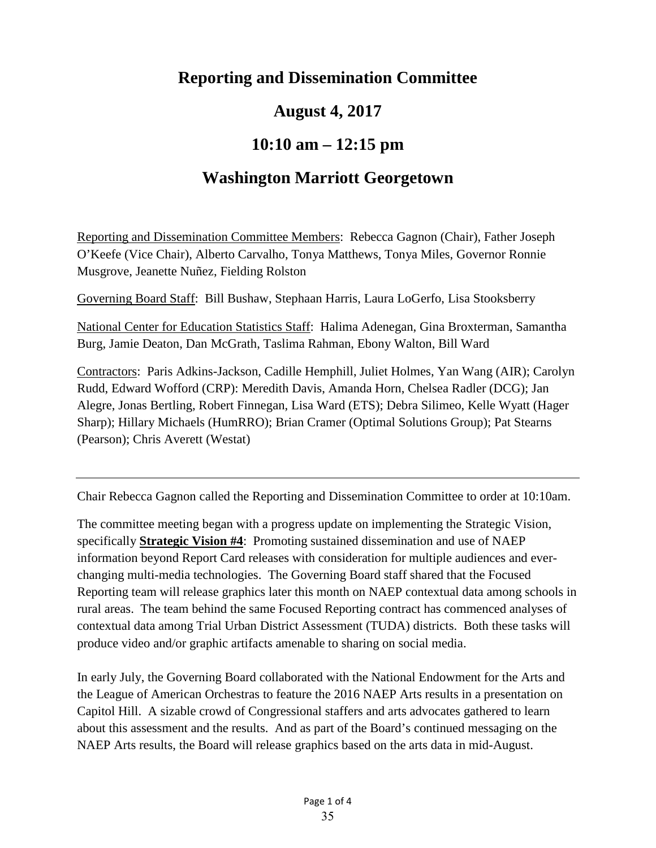## **Reporting and Dissemination Committee**

## **August 4, 2017**

## **10:10 am – 12:15 pm**

## **Washington Marriott Georgetown**

Reporting and Dissemination Committee Members: Rebecca Gagnon (Chair), Father Joseph O'Keefe (Vice Chair), Alberto Carvalho, Tonya Matthews, Tonya Miles, Governor Ronnie Musgrove, Jeanette Nuñez, Fielding Rolston

Governing Board Staff: Bill Bushaw, Stephaan Harris, Laura LoGerfo, Lisa Stooksberry

National Center for Education Statistics Staff: Halima Adenegan, Gina Broxterman, Samantha Burg, Jamie Deaton, Dan McGrath, Taslima Rahman, Ebony Walton, Bill Ward

Contractors: Paris Adkins-Jackson, Cadille Hemphill, Juliet Holmes, Yan Wang (AIR); Carolyn Rudd, Edward Wofford (CRP): Meredith Davis, Amanda Horn, Chelsea Radler (DCG); Jan Alegre, Jonas Bertling, Robert Finnegan, Lisa Ward (ETS); Debra Silimeo, Kelle Wyatt (Hager Sharp); Hillary Michaels (HumRRO); Brian Cramer (Optimal Solutions Group); Pat Stearns (Pearson); Chris Averett (Westat)

Chair Rebecca Gagnon called the Reporting and Dissemination Committee to order at 10:10am.

The committee meeting began with a progress update on implementing the Strategic Vision, specifically **Strategic Vision #4**: Promoting sustained dissemination and use of NAEP information beyond Report Card releases with consideration for multiple audiences and everchanging multi-media technologies. The Governing Board staff shared that the Focused Reporting team will release graphics later this month on NAEP contextual data among schools in rural areas. The team behind the same Focused Reporting contract has commenced analyses of contextual data among Trial Urban District Assessment (TUDA) districts. Both these tasks will produce video and/or graphic artifacts amenable to sharing on social media.

In early July, the Governing Board collaborated with the National Endowment for the Arts and the League of American Orchestras to feature the 2016 NAEP Arts results in a presentation on Capitol Hill. A sizable crowd of Congressional staffers and arts advocates gathered to learn about this assessment and the results. And as part of the Board's continued messaging on the NAEP Arts results, the Board will release graphics based on the arts data in mid-August.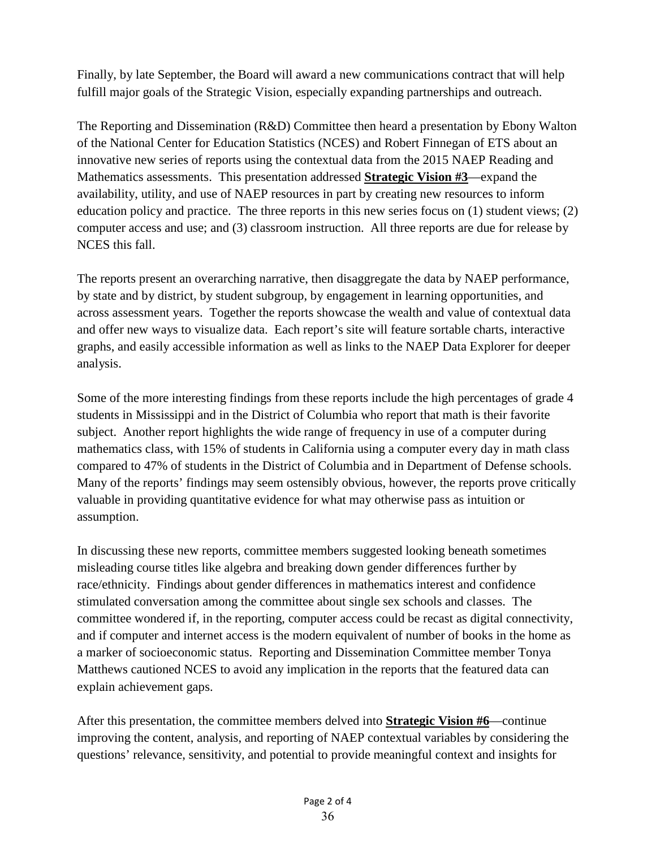Finally, by late September, the Board will award a new communications contract that will help fulfill major goals of the Strategic Vision, especially expanding partnerships and outreach.

The Reporting and Dissemination (R&D) Committee then heard a presentation by Ebony Walton of the National Center for Education Statistics (NCES) and Robert Finnegan of ETS about an innovative new series of reports using the contextual data from the 2015 NAEP Reading and Mathematics assessments. This presentation addressed **Strategic Vision #3**—expand the availability, utility, and use of NAEP resources in part by creating new resources to inform education policy and practice. The three reports in this new series focus on (1) student views; (2) computer access and use; and (3) classroom instruction. All three reports are due for release by NCES this fall.

The reports present an overarching narrative, then disaggregate the data by NAEP performance, by state and by district, by student subgroup, by engagement in learning opportunities, and across assessment years. Together the reports showcase the wealth and value of contextual data and offer new ways to visualize data. Each report's site will feature sortable charts, interactive graphs, and easily accessible information as well as links to the NAEP Data Explorer for deeper analysis.

Some of the more interesting findings from these reports include the high percentages of grade 4 students in Mississippi and in the District of Columbia who report that math is their favorite subject. Another report highlights the wide range of frequency in use of a computer during mathematics class, with 15% of students in California using a computer every day in math class compared to 47% of students in the District of Columbia and in Department of Defense schools. Many of the reports' findings may seem ostensibly obvious, however, the reports prove critically valuable in providing quantitative evidence for what may otherwise pass as intuition or assumption.

In discussing these new reports, committee members suggested looking beneath sometimes misleading course titles like algebra and breaking down gender differences further by race/ethnicity. Findings about gender differences in mathematics interest and confidence stimulated conversation among the committee about single sex schools and classes. The committee wondered if, in the reporting, computer access could be recast as digital connectivity, and if computer and internet access is the modern equivalent of number of books in the home as a marker of socioeconomic status. Reporting and Dissemination Committee member Tonya Matthews cautioned NCES to avoid any implication in the reports that the featured data can explain achievement gaps.

After this presentation, the committee members delved into **Strategic Vision #6**—continue improving the content, analysis, and reporting of NAEP contextual variables by considering the questions' relevance, sensitivity, and potential to provide meaningful context and insights for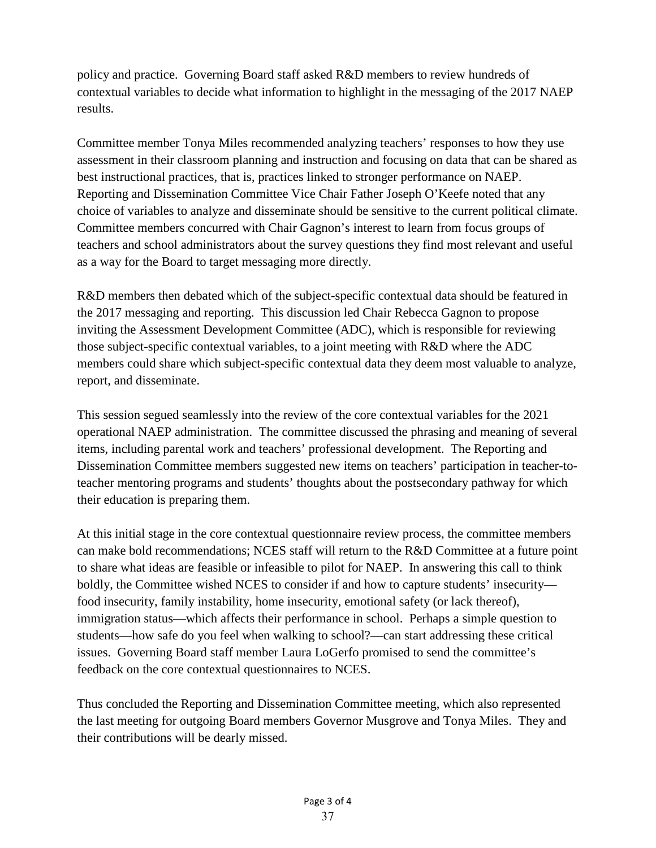policy and practice. Governing Board staff asked R&D members to review hundreds of contextual variables to decide what information to highlight in the messaging of the 2017 NAEP results.

Committee member Tonya Miles recommended analyzing teachers' responses to how they use assessment in their classroom planning and instruction and focusing on data that can be shared as best instructional practices, that is, practices linked to stronger performance on NAEP. Reporting and Dissemination Committee Vice Chair Father Joseph O'Keefe noted that any choice of variables to analyze and disseminate should be sensitive to the current political climate. Committee members concurred with Chair Gagnon's interest to learn from focus groups of teachers and school administrators about the survey questions they find most relevant and useful as a way for the Board to target messaging more directly.

R&D members then debated which of the subject-specific contextual data should be featured in the 2017 messaging and reporting. This discussion led Chair Rebecca Gagnon to propose inviting the Assessment Development Committee (ADC), which is responsible for reviewing those subject-specific contextual variables, to a joint meeting with R&D where the ADC members could share which subject-specific contextual data they deem most valuable to analyze, report, and disseminate.

This session segued seamlessly into the review of the core contextual variables for the 2021 operational NAEP administration. The committee discussed the phrasing and meaning of several items, including parental work and teachers' professional development. The Reporting and Dissemination Committee members suggested new items on teachers' participation in teacher-toteacher mentoring programs and students' thoughts about the postsecondary pathway for which their education is preparing them.

At this initial stage in the core contextual questionnaire review process, the committee members can make bold recommendations; NCES staff will return to the R&D Committee at a future point to share what ideas are feasible or infeasible to pilot for NAEP. In answering this call to think boldly, the Committee wished NCES to consider if and how to capture students' insecurity food insecurity, family instability, home insecurity, emotional safety (or lack thereof), immigration status—which affects their performance in school. Perhaps a simple question to students—how safe do you feel when walking to school?—can start addressing these critical issues. Governing Board staff member Laura LoGerfo promised to send the committee's feedback on the core contextual questionnaires to NCES.

Thus concluded the Reporting and Dissemination Committee meeting, which also represented the last meeting for outgoing Board members Governor Musgrove and Tonya Miles. They and their contributions will be dearly missed.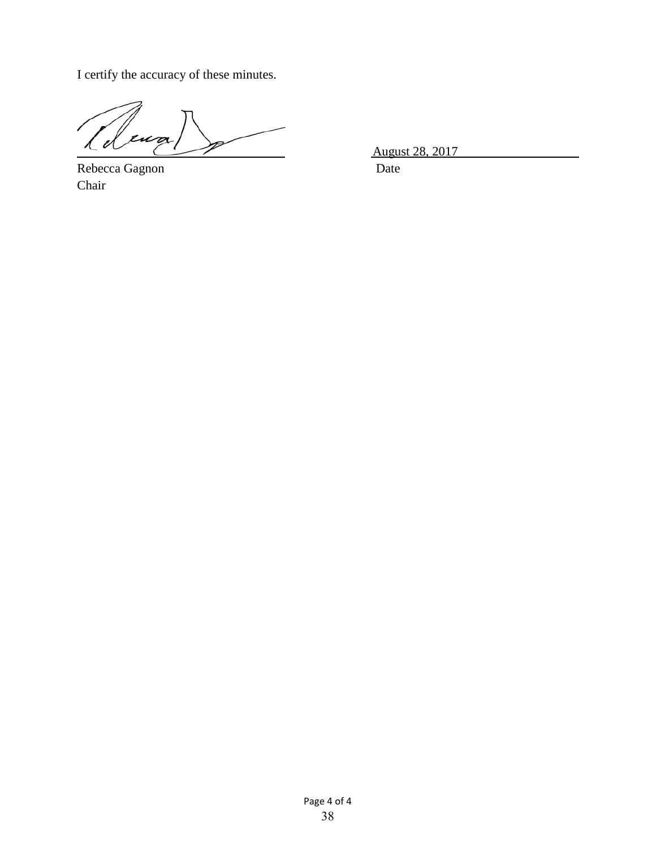I certify the accuracy of these minutes.

 $\tilde{z}$ 

Rebecca Gagnon Date Chair

August 28, 2017